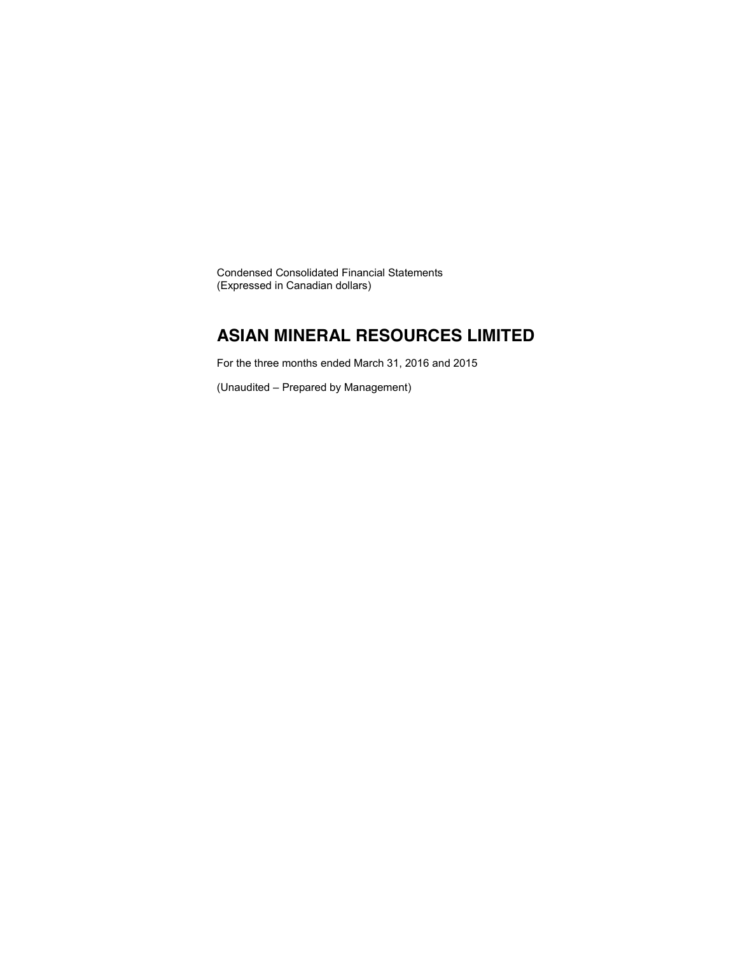Condensed Consolidated Financial Statements (Expressed in Canadian dollars)

### **ASIAN MINERAL RESOURCES LIMITED**

For the three months ended March 31, 2016 and 2015

(Unaudited – Prepared by Management)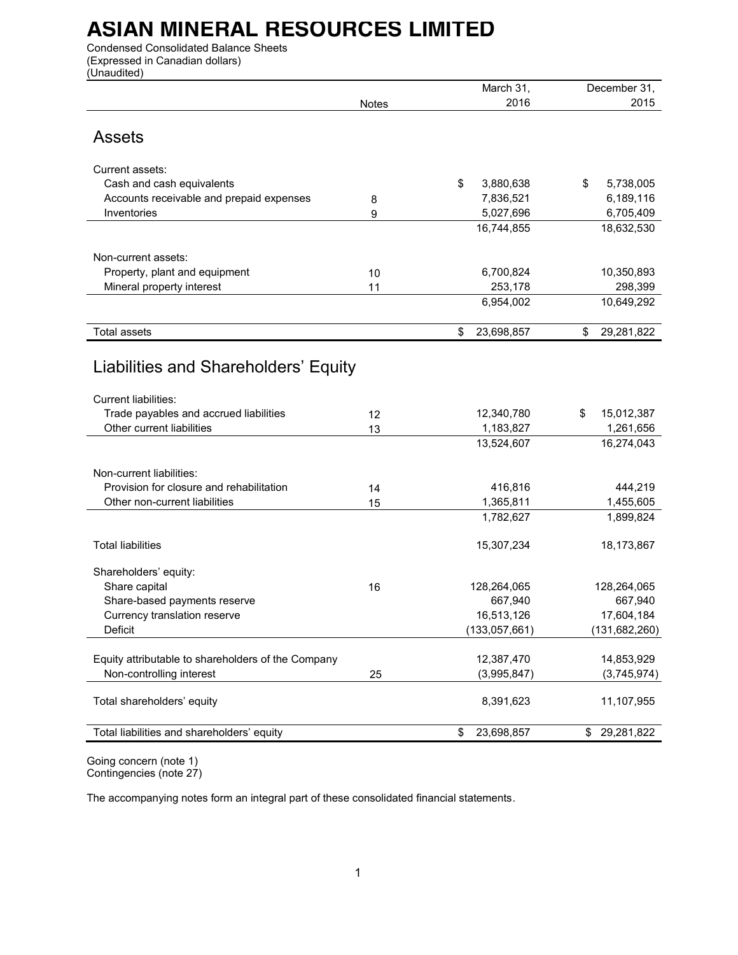Condensed Consolidated Balance Sheets (Expressed in Canadian dollars) (Unaudited)

| 2016<br>2015<br>Notes<br><b>Assets</b><br>Current assets:<br>Cash and cash equivalents<br>\$<br>3,880,638<br>5,738,005<br>\$<br>Accounts receivable and prepaid expenses<br>7,836,521<br>6,189,116<br>8<br>Inventories<br>5,027,696<br>6,705,409<br>9<br>16,744,855<br>18,632,530<br>Non-current assets:<br>Property, plant and equipment<br>6,700,824<br>10,350,893<br>10<br>Mineral property interest<br>253,178<br>298,399<br>11<br>6,954,002<br>10,649,292<br>\$<br>23,698,857<br>29,281,822<br><b>Total assets</b><br>\$<br>Liabilities and Shareholders' Equity<br>Current liabilities:<br>Trade payables and accrued liabilities<br>12<br>12,340,780<br>\$<br>15,012,387<br>Other current liabilities<br>13<br>1,183,827<br>1,261,656<br>13,524,607<br>16,274,043<br>Non-current liabilities:<br>Provision for closure and rehabilitation<br>416,816<br>444,219<br>14<br>Other non-current liabilities<br>1,365,811<br>1,455,605<br>15<br>1,782,627<br>1,899,824<br><b>Total liabilities</b><br>15,307,234<br>18,173,867<br>Shareholders' equity:<br>Share capital<br>128,264,065<br>128,264,065<br>16<br>Share-based payments reserve<br>667,940<br>667,940<br>16,513,126<br>17,604,184<br>Currency translation reserve<br>Deficit<br>(133, 057, 661)<br>(131, 682, 260)<br>Equity attributable to shareholders of the Company<br>12,387,470<br>14,853,929<br>Non-controlling interest<br>(3,995,847)<br>(3,745,974)<br>25<br>Total shareholders' equity<br>8,391,623<br>11,107,955<br>Total liabilities and shareholders' equity<br>\$<br>23,698,857<br>\$<br>29,281,822 |  | March 31, | December 31, |
|-----------------------------------------------------------------------------------------------------------------------------------------------------------------------------------------------------------------------------------------------------------------------------------------------------------------------------------------------------------------------------------------------------------------------------------------------------------------------------------------------------------------------------------------------------------------------------------------------------------------------------------------------------------------------------------------------------------------------------------------------------------------------------------------------------------------------------------------------------------------------------------------------------------------------------------------------------------------------------------------------------------------------------------------------------------------------------------------------------------------------------------------------------------------------------------------------------------------------------------------------------------------------------------------------------------------------------------------------------------------------------------------------------------------------------------------------------------------------------------------------------------------------------------------------------------------------------------|--|-----------|--------------|
|                                                                                                                                                                                                                                                                                                                                                                                                                                                                                                                                                                                                                                                                                                                                                                                                                                                                                                                                                                                                                                                                                                                                                                                                                                                                                                                                                                                                                                                                                                                                                                                   |  |           |              |
|                                                                                                                                                                                                                                                                                                                                                                                                                                                                                                                                                                                                                                                                                                                                                                                                                                                                                                                                                                                                                                                                                                                                                                                                                                                                                                                                                                                                                                                                                                                                                                                   |  |           |              |
|                                                                                                                                                                                                                                                                                                                                                                                                                                                                                                                                                                                                                                                                                                                                                                                                                                                                                                                                                                                                                                                                                                                                                                                                                                                                                                                                                                                                                                                                                                                                                                                   |  |           |              |
|                                                                                                                                                                                                                                                                                                                                                                                                                                                                                                                                                                                                                                                                                                                                                                                                                                                                                                                                                                                                                                                                                                                                                                                                                                                                                                                                                                                                                                                                                                                                                                                   |  |           |              |
|                                                                                                                                                                                                                                                                                                                                                                                                                                                                                                                                                                                                                                                                                                                                                                                                                                                                                                                                                                                                                                                                                                                                                                                                                                                                                                                                                                                                                                                                                                                                                                                   |  |           |              |
|                                                                                                                                                                                                                                                                                                                                                                                                                                                                                                                                                                                                                                                                                                                                                                                                                                                                                                                                                                                                                                                                                                                                                                                                                                                                                                                                                                                                                                                                                                                                                                                   |  |           |              |
|                                                                                                                                                                                                                                                                                                                                                                                                                                                                                                                                                                                                                                                                                                                                                                                                                                                                                                                                                                                                                                                                                                                                                                                                                                                                                                                                                                                                                                                                                                                                                                                   |  |           |              |
|                                                                                                                                                                                                                                                                                                                                                                                                                                                                                                                                                                                                                                                                                                                                                                                                                                                                                                                                                                                                                                                                                                                                                                                                                                                                                                                                                                                                                                                                                                                                                                                   |  |           |              |
|                                                                                                                                                                                                                                                                                                                                                                                                                                                                                                                                                                                                                                                                                                                                                                                                                                                                                                                                                                                                                                                                                                                                                                                                                                                                                                                                                                                                                                                                                                                                                                                   |  |           |              |
|                                                                                                                                                                                                                                                                                                                                                                                                                                                                                                                                                                                                                                                                                                                                                                                                                                                                                                                                                                                                                                                                                                                                                                                                                                                                                                                                                                                                                                                                                                                                                                                   |  |           |              |
|                                                                                                                                                                                                                                                                                                                                                                                                                                                                                                                                                                                                                                                                                                                                                                                                                                                                                                                                                                                                                                                                                                                                                                                                                                                                                                                                                                                                                                                                                                                                                                                   |  |           |              |
|                                                                                                                                                                                                                                                                                                                                                                                                                                                                                                                                                                                                                                                                                                                                                                                                                                                                                                                                                                                                                                                                                                                                                                                                                                                                                                                                                                                                                                                                                                                                                                                   |  |           |              |
|                                                                                                                                                                                                                                                                                                                                                                                                                                                                                                                                                                                                                                                                                                                                                                                                                                                                                                                                                                                                                                                                                                                                                                                                                                                                                                                                                                                                                                                                                                                                                                                   |  |           |              |
|                                                                                                                                                                                                                                                                                                                                                                                                                                                                                                                                                                                                                                                                                                                                                                                                                                                                                                                                                                                                                                                                                                                                                                                                                                                                                                                                                                                                                                                                                                                                                                                   |  |           |              |
|                                                                                                                                                                                                                                                                                                                                                                                                                                                                                                                                                                                                                                                                                                                                                                                                                                                                                                                                                                                                                                                                                                                                                                                                                                                                                                                                                                                                                                                                                                                                                                                   |  |           |              |
|                                                                                                                                                                                                                                                                                                                                                                                                                                                                                                                                                                                                                                                                                                                                                                                                                                                                                                                                                                                                                                                                                                                                                                                                                                                                                                                                                                                                                                                                                                                                                                                   |  |           |              |
|                                                                                                                                                                                                                                                                                                                                                                                                                                                                                                                                                                                                                                                                                                                                                                                                                                                                                                                                                                                                                                                                                                                                                                                                                                                                                                                                                                                                                                                                                                                                                                                   |  |           |              |
|                                                                                                                                                                                                                                                                                                                                                                                                                                                                                                                                                                                                                                                                                                                                                                                                                                                                                                                                                                                                                                                                                                                                                                                                                                                                                                                                                                                                                                                                                                                                                                                   |  |           |              |
|                                                                                                                                                                                                                                                                                                                                                                                                                                                                                                                                                                                                                                                                                                                                                                                                                                                                                                                                                                                                                                                                                                                                                                                                                                                                                                                                                                                                                                                                                                                                                                                   |  |           |              |
|                                                                                                                                                                                                                                                                                                                                                                                                                                                                                                                                                                                                                                                                                                                                                                                                                                                                                                                                                                                                                                                                                                                                                                                                                                                                                                                                                                                                                                                                                                                                                                                   |  |           |              |
|                                                                                                                                                                                                                                                                                                                                                                                                                                                                                                                                                                                                                                                                                                                                                                                                                                                                                                                                                                                                                                                                                                                                                                                                                                                                                                                                                                                                                                                                                                                                                                                   |  |           |              |
|                                                                                                                                                                                                                                                                                                                                                                                                                                                                                                                                                                                                                                                                                                                                                                                                                                                                                                                                                                                                                                                                                                                                                                                                                                                                                                                                                                                                                                                                                                                                                                                   |  |           |              |
|                                                                                                                                                                                                                                                                                                                                                                                                                                                                                                                                                                                                                                                                                                                                                                                                                                                                                                                                                                                                                                                                                                                                                                                                                                                                                                                                                                                                                                                                                                                                                                                   |  |           |              |
|                                                                                                                                                                                                                                                                                                                                                                                                                                                                                                                                                                                                                                                                                                                                                                                                                                                                                                                                                                                                                                                                                                                                                                                                                                                                                                                                                                                                                                                                                                                                                                                   |  |           |              |
|                                                                                                                                                                                                                                                                                                                                                                                                                                                                                                                                                                                                                                                                                                                                                                                                                                                                                                                                                                                                                                                                                                                                                                                                                                                                                                                                                                                                                                                                                                                                                                                   |  |           |              |
|                                                                                                                                                                                                                                                                                                                                                                                                                                                                                                                                                                                                                                                                                                                                                                                                                                                                                                                                                                                                                                                                                                                                                                                                                                                                                                                                                                                                                                                                                                                                                                                   |  |           |              |
|                                                                                                                                                                                                                                                                                                                                                                                                                                                                                                                                                                                                                                                                                                                                                                                                                                                                                                                                                                                                                                                                                                                                                                                                                                                                                                                                                                                                                                                                                                                                                                                   |  |           |              |
|                                                                                                                                                                                                                                                                                                                                                                                                                                                                                                                                                                                                                                                                                                                                                                                                                                                                                                                                                                                                                                                                                                                                                                                                                                                                                                                                                                                                                                                                                                                                                                                   |  |           |              |
|                                                                                                                                                                                                                                                                                                                                                                                                                                                                                                                                                                                                                                                                                                                                                                                                                                                                                                                                                                                                                                                                                                                                                                                                                                                                                                                                                                                                                                                                                                                                                                                   |  |           |              |
|                                                                                                                                                                                                                                                                                                                                                                                                                                                                                                                                                                                                                                                                                                                                                                                                                                                                                                                                                                                                                                                                                                                                                                                                                                                                                                                                                                                                                                                                                                                                                                                   |  |           |              |
|                                                                                                                                                                                                                                                                                                                                                                                                                                                                                                                                                                                                                                                                                                                                                                                                                                                                                                                                                                                                                                                                                                                                                                                                                                                                                                                                                                                                                                                                                                                                                                                   |  |           |              |
|                                                                                                                                                                                                                                                                                                                                                                                                                                                                                                                                                                                                                                                                                                                                                                                                                                                                                                                                                                                                                                                                                                                                                                                                                                                                                                                                                                                                                                                                                                                                                                                   |  |           |              |
|                                                                                                                                                                                                                                                                                                                                                                                                                                                                                                                                                                                                                                                                                                                                                                                                                                                                                                                                                                                                                                                                                                                                                                                                                                                                                                                                                                                                                                                                                                                                                                                   |  |           |              |
|                                                                                                                                                                                                                                                                                                                                                                                                                                                                                                                                                                                                                                                                                                                                                                                                                                                                                                                                                                                                                                                                                                                                                                                                                                                                                                                                                                                                                                                                                                                                                                                   |  |           |              |
|                                                                                                                                                                                                                                                                                                                                                                                                                                                                                                                                                                                                                                                                                                                                                                                                                                                                                                                                                                                                                                                                                                                                                                                                                                                                                                                                                                                                                                                                                                                                                                                   |  |           |              |
|                                                                                                                                                                                                                                                                                                                                                                                                                                                                                                                                                                                                                                                                                                                                                                                                                                                                                                                                                                                                                                                                                                                                                                                                                                                                                                                                                                                                                                                                                                                                                                                   |  |           |              |
|                                                                                                                                                                                                                                                                                                                                                                                                                                                                                                                                                                                                                                                                                                                                                                                                                                                                                                                                                                                                                                                                                                                                                                                                                                                                                                                                                                                                                                                                                                                                                                                   |  |           |              |
|                                                                                                                                                                                                                                                                                                                                                                                                                                                                                                                                                                                                                                                                                                                                                                                                                                                                                                                                                                                                                                                                                                                                                                                                                                                                                                                                                                                                                                                                                                                                                                                   |  |           |              |
|                                                                                                                                                                                                                                                                                                                                                                                                                                                                                                                                                                                                                                                                                                                                                                                                                                                                                                                                                                                                                                                                                                                                                                                                                                                                                                                                                                                                                                                                                                                                                                                   |  |           |              |
|                                                                                                                                                                                                                                                                                                                                                                                                                                                                                                                                                                                                                                                                                                                                                                                                                                                                                                                                                                                                                                                                                                                                                                                                                                                                                                                                                                                                                                                                                                                                                                                   |  |           |              |
|                                                                                                                                                                                                                                                                                                                                                                                                                                                                                                                                                                                                                                                                                                                                                                                                                                                                                                                                                                                                                                                                                                                                                                                                                                                                                                                                                                                                                                                                                                                                                                                   |  |           |              |
|                                                                                                                                                                                                                                                                                                                                                                                                                                                                                                                                                                                                                                                                                                                                                                                                                                                                                                                                                                                                                                                                                                                                                                                                                                                                                                                                                                                                                                                                                                                                                                                   |  |           |              |

Going concern (note 1) Contingencies (note 27)

The accompanying notes form an integral part of these consolidated financial statements.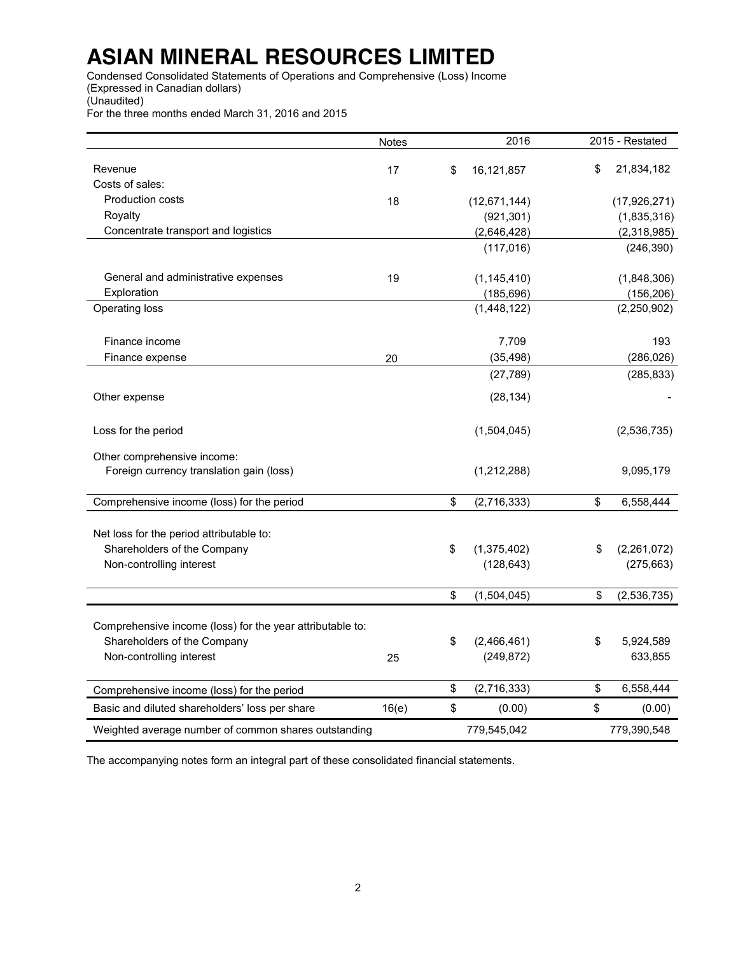Condensed Consolidated Statements of Operations and Comprehensive (Loss) Income (Expressed in Canadian dollars) (Unaudited)

For the three months ended March 31, 2016 and 2015

|                                                           | Notes |             | 2016           |             | 2015 - Restated |
|-----------------------------------------------------------|-------|-------------|----------------|-------------|-----------------|
| Revenue                                                   | 17    | \$          | 16,121,857     | \$          | 21,834,182      |
| Costs of sales:                                           |       |             |                |             |                 |
| <b>Production costs</b>                                   | 18    |             | (12, 671, 144) |             | (17, 926, 271)  |
| Royalty                                                   |       |             | (921, 301)     |             | (1,835,316)     |
| Concentrate transport and logistics                       |       | (2,646,428) |                | (2,318,985) |                 |
|                                                           |       |             | (117, 016)     |             | (246, 390)      |
| General and administrative expenses                       | 19    |             | (1, 145, 410)  |             | (1,848,306)     |
| Exploration                                               |       |             | (185, 696)     |             | (156, 206)      |
| Operating loss                                            |       |             | (1,448,122)    |             | (2,250,902)     |
| Finance income                                            |       |             | 7,709          |             | 193             |
| Finance expense                                           | 20    |             | (35, 498)      |             | (286, 026)      |
|                                                           |       |             | (27, 789)      |             | (285, 833)      |
| Other expense                                             |       |             | (28, 134)      |             |                 |
| Loss for the period                                       |       |             | (1,504,045)    |             | (2,536,735)     |
| Other comprehensive income:                               |       |             |                |             |                 |
| Foreign currency translation gain (loss)                  |       |             | (1,212,288)    |             | 9,095,179       |
| Comprehensive income (loss) for the period                |       | \$          | (2,716,333)    | \$          | 6,558,444       |
| Net loss for the period attributable to:                  |       |             |                |             |                 |
| Shareholders of the Company                               |       | \$          | (1, 375, 402)  | \$          | (2,261,072)     |
| Non-controlling interest                                  |       |             | (128, 643)     |             | (275, 663)      |
|                                                           |       | \$          | (1,504,045)    | \$          | (2,536,735)     |
| Comprehensive income (loss) for the year attributable to: |       |             |                |             |                 |
| Shareholders of the Company                               |       | \$          | (2,466,461)    | \$          | 5,924,589       |
| Non-controlling interest                                  | 25    |             | (249, 872)     |             | 633,855         |
| Comprehensive income (loss) for the period                |       | \$          | (2,716,333)    | \$          | 6,558,444       |
| Basic and diluted shareholders' loss per share            | 16(e) | \$          | (0.00)         | \$          | (0.00)          |
| Weighted average number of common shares outstanding      |       |             | 779,545,042    |             | 779,390,548     |

The accompanying notes form an integral part of these consolidated financial statements.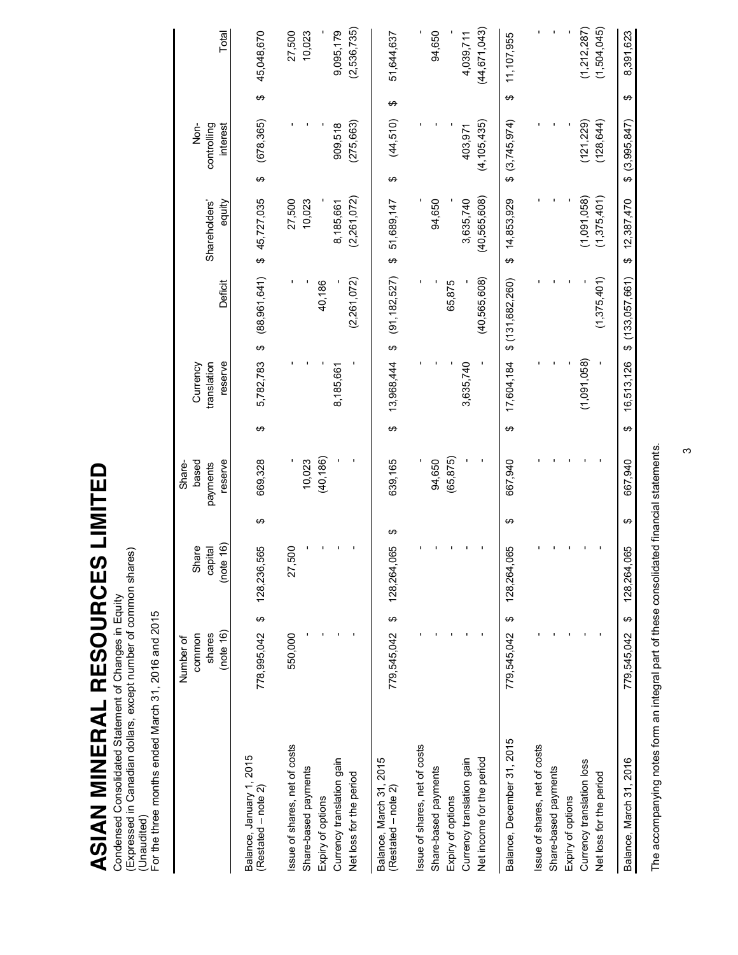**ASIAN MINERAL RESOURCES LIMITED ASIAN MINERAL RESOURCES LIMITED**

Condensed Consolidated Statement of Changes in Equity<br>(Expressed in Canadian dollars, except number of common shares)<br>(Unaudited)<br>For the three months ended March 31, 2016 and 2015 (Expressed in Canadian dollars, except number of common shares) Condensed Consolidated Statement of Changes in Equity (Unaudited)

For the three months ended March 31, 2016 and 2015

|                                                       | (note 16)<br>shares<br>common<br>Number of | (note 16)<br>Share<br>capital |   | reserve<br>based<br>Share-<br>payments |   | translation<br>reserve<br>Currency |                     | Deficit | Shareholders'<br>equity |   | controlling<br>$rac{1}{2}$<br>interest |   | Total            |
|-------------------------------------------------------|--------------------------------------------|-------------------------------|---|----------------------------------------|---|------------------------------------|---------------------|---------|-------------------------|---|----------------------------------------|---|------------------|
| Balance, January 1, 2015<br>$(Restated - note 2)$     | 778,995,042 \$                             | 128,236,565                   | ↮ | 669,328                                | ക | 5,782,783                          | (88, 961, 641)<br>↔ |         | \$45,727,035            | ↮ | (678, 365)                             | ↮ | 45,048,670       |
| Issue of shares, net of costs<br>Share-based payments | 550,000                                    | 27,500                        |   | 10,023                                 |   |                                    |                     |         | 27,500<br>10,023        |   |                                        |   | 27,500<br>10,023 |
| Currency translation gain<br>Expiry of options        |                                            |                               |   | (40, 186)                              |   | 8,185,661                          | 40,186              |         | 8,185,661               |   | 909,518                                |   | 9,095,179        |
| Net loss for the period                               |                                            |                               |   |                                        |   |                                    | (2, 261, 072)       |         | (2, 261, 072)           |   | (275, 663)                             |   | (2,536,735)      |
| Balance, March 31, 2015<br>$(Restated - note 2)$      | ↮<br>779,545,042                           | 128,264,065                   | ↔ | 639,165                                | ↔ | 13,968,444                         | (91, 182, 527)<br>↮ |         | 51,689,147<br>↮         | ↔ | (44, 510)                              | ↔ | 51,644,637       |
| Issue of shares, net of costs                         |                                            |                               |   |                                        |   |                                    |                     |         |                         |   |                                        |   |                  |
| Share-based payments                                  |                                            |                               |   | 94,650                                 |   |                                    |                     |         | 94,650                  |   |                                        |   | 94,650           |
| Expiry of options                                     |                                            |                               |   | (65, 875)                              |   |                                    |                     | 65,875  |                         |   |                                        |   |                  |
| Currency translation gain                             |                                            |                               |   |                                        |   | 3,635,740                          |                     |         | 3,635,740               |   | 403,971                                |   | 4,039,711        |
| Net income for the period                             |                                            |                               |   |                                        |   |                                    | (40, 565, 608)      |         | (40,565,608)            |   | (4, 105, 435)                          |   | (44,671,043)     |
| Balance, December 31, 2015                            | ↮<br>779,545,042                           | 128,264,065                   | ↮ | 667,940                                | ↮ | 17,604,184                         | \$(131, 682, 260)   |         | 14,853,929<br>↮         |   | \$ (3,745,974)                         | ↮ | 11,107,955       |
| ssue of shares, net of costs                          |                                            |                               |   |                                        |   |                                    |                     |         |                         |   |                                        |   |                  |
| Share-based payments                                  |                                            |                               |   |                                        |   |                                    |                     |         |                         |   |                                        |   |                  |
| Expiry of options                                     |                                            |                               |   |                                        |   |                                    |                     |         |                         |   |                                        |   |                  |
| Currency translation loss                             |                                            |                               |   |                                        |   | (1,091,058)                        |                     |         | (1,091,058)             |   | (121, 229)                             |   | (1,212,287)      |
| Net loss for the period                               |                                            |                               |   |                                        |   |                                    | (1, 375, 401)       |         | (1,375,401)             |   | (128, 644)                             |   | (1,504,045)      |
| Balance, March 31, 2016                               | ↔<br>779.545.042                           | 065<br>128,264,               | ↮ | 667.940                                | ↮ | 16.513,126                         | (133.057.661)<br>ക  |         | 12,387,470<br>↔         | ക | (3.995, 847)                           | ↔ | 8,391,623        |
|                                                       |                                            |                               |   |                                        |   |                                    |                     |         |                         |   |                                        |   |                  |

The accompanying notes form an integral part of these consolidated financial statements. The accompanying notes form an integral part of these consolidated financial statements.

 $\infty$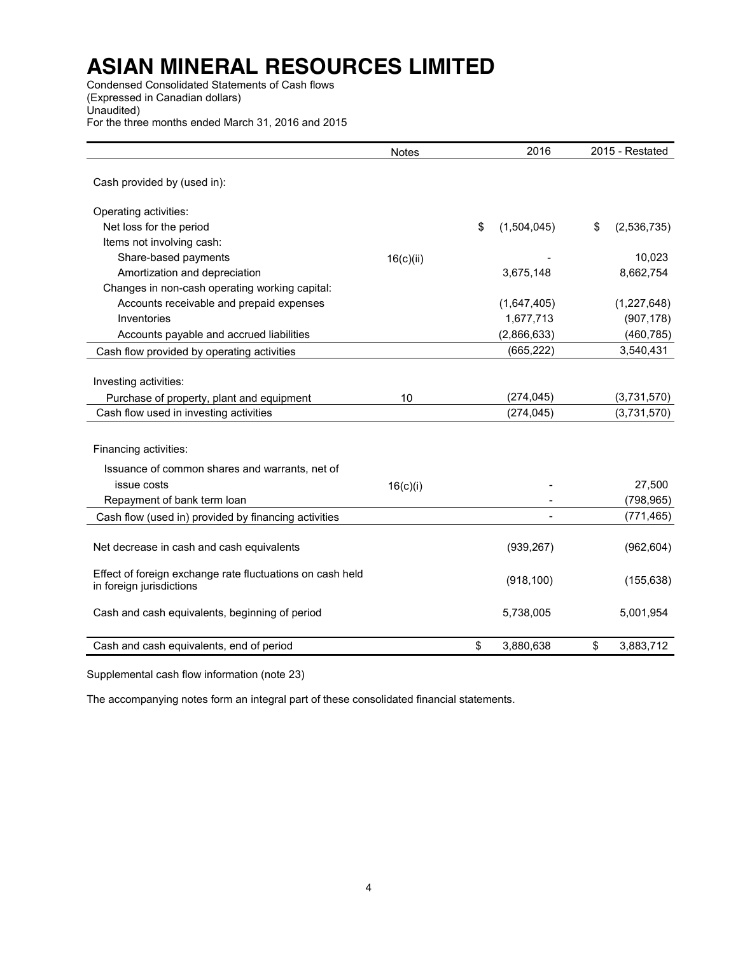Condensed Consolidated Statements of Cash flows (Expressed in Canadian dollars) Unaudited) For the three months ended March 31, 2016 and 2015

|                                                                                        | <b>Notes</b> | 2016              | 2015 - Restated   |
|----------------------------------------------------------------------------------------|--------------|-------------------|-------------------|
| Cash provided by (used in):                                                            |              |                   |                   |
| Operating activities:                                                                  |              |                   |                   |
| Net loss for the period                                                                |              | \$<br>(1,504,045) | \$<br>(2,536,735) |
| Items not involving cash:                                                              |              |                   |                   |
| Share-based payments                                                                   | 16(c)(ii)    |                   | 10,023            |
| Amortization and depreciation                                                          |              | 3,675,148         | 8,662,754         |
| Changes in non-cash operating working capital:                                         |              |                   |                   |
| Accounts receivable and prepaid expenses                                               |              | (1,647,405)       | (1,227,648)       |
| Inventories                                                                            |              | 1,677,713         | (907, 178)        |
| Accounts payable and accrued liabilities                                               |              | (2,866,633)       | (460, 785)        |
| Cash flow provided by operating activities                                             |              | (665, 222)        | 3,540,431         |
| Investing activities:<br>Purchase of property, plant and equipment                     | 10           | (274, 045)        | (3,731,570)       |
| Cash flow used in investing activities                                                 |              | (274, 045)        | (3,731,570)       |
| Financing activities:<br>Issuance of common shares and warrants, net of<br>issue costs | 16(c)(i)     |                   | 27,500            |
| Repayment of bank term loan                                                            |              |                   | (798, 965)        |
| Cash flow (used in) provided by financing activities                                   |              |                   | (771, 465)        |
| Net decrease in cash and cash equivalents                                              |              | (939, 267)        | (962, 604)        |
| Effect of foreign exchange rate fluctuations on cash held<br>in foreign jurisdictions  |              | (918, 100)        | (155, 638)        |
| Cash and cash equivalents, beginning of period                                         |              | 5,738,005         | 5,001,954         |
| Cash and cash equivalents, end of period                                               |              | \$<br>3,880,638   | \$<br>3,883,712   |

Supplemental cash flow information (note 23)

The accompanying notes form an integral part of these consolidated financial statements.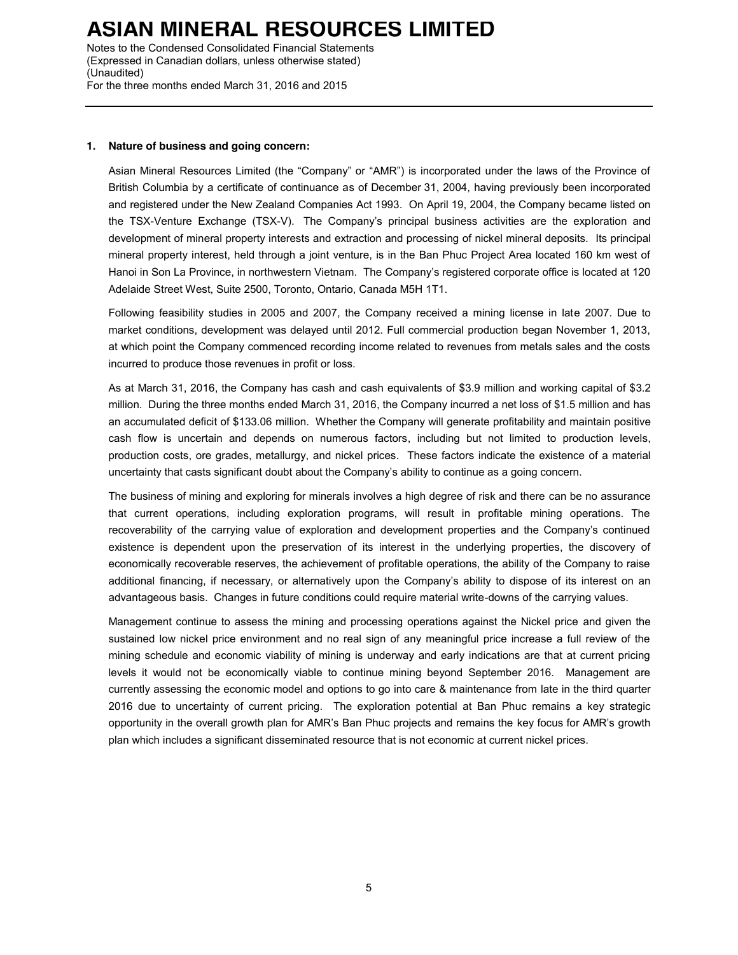Notes to the Condensed Consolidated Financial Statements (Expressed in Canadian dollars, unless otherwise stated) (Unaudited) For the three months ended March 31, 2016 and 2015

#### **1. Nature of business and going concern:**

Asian Mineral Resources Limited (the "Company" or "AMR") is incorporated under the laws of the Province of British Columbia by a certificate of continuance as of December 31, 2004, having previously been incorporated and registered under the New Zealand Companies Act 1993. On April 19, 2004, the Company became listed on the TSX-Venture Exchange (TSX-V). The Company's principal business activities are the exploration and development of mineral property interests and extraction and processing of nickel mineral deposits. Its principal mineral property interest, held through a joint venture, is in the Ban Phuc Project Area located 160 km west of Hanoi in Son La Province, in northwestern Vietnam. The Company's registered corporate office is located at 120 Adelaide Street West, Suite 2500, Toronto, Ontario, Canada M5H 1T1.

Following feasibility studies in 2005 and 2007, the Company received a mining license in late 2007. Due to market conditions, development was delayed until 2012. Full commercial production began November 1, 2013, at which point the Company commenced recording income related to revenues from metals sales and the costs incurred to produce those revenues in profit or loss.

As at March 31, 2016, the Company has cash and cash equivalents of \$3.9 million and working capital of \$3.2 million. During the three months ended March 31, 2016, the Company incurred a net loss of \$1.5 million and has an accumulated deficit of \$133.06 million. Whether the Company will generate profitability and maintain positive cash flow is uncertain and depends on numerous factors, including but not limited to production levels, production costs, ore grades, metallurgy, and nickel prices. These factors indicate the existence of a material uncertainty that casts significant doubt about the Company's ability to continue as a going concern.

The business of mining and exploring for minerals involves a high degree of risk and there can be no assurance that current operations, including exploration programs, will result in profitable mining operations. The recoverability of the carrying value of exploration and development properties and the Company's continued existence is dependent upon the preservation of its interest in the underlying properties, the discovery of economically recoverable reserves, the achievement of profitable operations, the ability of the Company to raise additional financing, if necessary, or alternatively upon the Company's ability to dispose of its interest on an advantageous basis. Changes in future conditions could require material write-downs of the carrying values.

Management continue to assess the mining and processing operations against the Nickel price and given the sustained low nickel price environment and no real sign of any meaningful price increase a full review of the mining schedule and economic viability of mining is underway and early indications are that at current pricing levels it would not be economically viable to continue mining beyond September 2016. Management are currently assessing the economic model and options to go into care & maintenance from late in the third quarter 2016 due to uncertainty of current pricing. The exploration potential at Ban Phuc remains a key strategic opportunity in the overall growth plan for AMR's Ban Phuc projects and remains the key focus for AMR's growth plan which includes a significant disseminated resource that is not economic at current nickel prices.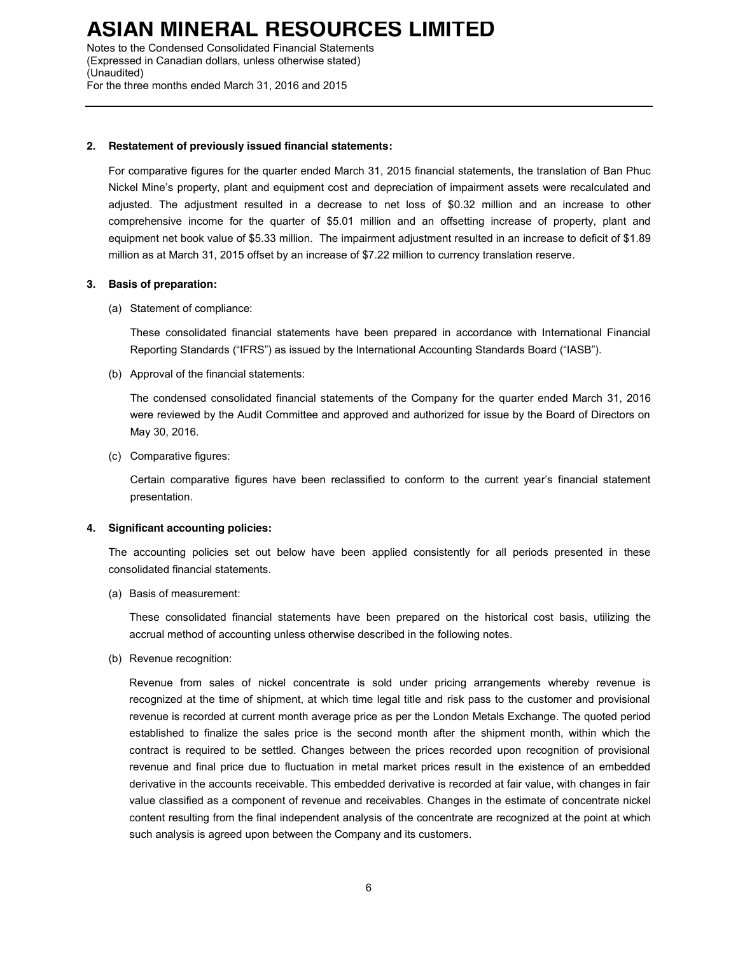Notes to the Condensed Consolidated Financial Statements (Expressed in Canadian dollars, unless otherwise stated) (Unaudited) For the three months ended March 31, 2016 and 2015

### **2. Restatement of previously issued financial statements:**

For comparative figures for the quarter ended March 31, 2015 financial statements, the translation of Ban Phuc Nickel Mine's property, plant and equipment cost and depreciation of impairment assets were recalculated and adjusted. The adjustment resulted in a decrease to net loss of \$0.32 million and an increase to other comprehensive income for the quarter of \$5.01 million and an offsetting increase of property, plant and equipment net book value of \$5.33 million. The impairment adjustment resulted in an increase to deficit of \$1.89 million as at March 31, 2015 offset by an increase of \$7.22 million to currency translation reserve.

#### **3. Basis of preparation:**

(a) Statement of compliance:

These consolidated financial statements have been prepared in accordance with International Financial Reporting Standards ("IFRS") as issued by the International Accounting Standards Board ("IASB").

(b) Approval of the financial statements:

The condensed consolidated financial statements of the Company for the quarter ended March 31, 2016 were reviewed by the Audit Committee and approved and authorized for issue by the Board of Directors on May 30, 2016.

(c) Comparative figures:

Certain comparative figures have been reclassified to conform to the current year's financial statement presentation.

### **4. Significant accounting policies:**

The accounting policies set out below have been applied consistently for all periods presented in these consolidated financial statements.

(a) Basis of measurement:

These consolidated financial statements have been prepared on the historical cost basis, utilizing the accrual method of accounting unless otherwise described in the following notes.

(b) Revenue recognition:

Revenue from sales of nickel concentrate is sold under pricing arrangements whereby revenue is recognized at the time of shipment, at which time legal title and risk pass to the customer and provisional revenue is recorded at current month average price as per the London Metals Exchange. The quoted period established to finalize the sales price is the second month after the shipment month, within which the contract is required to be settled. Changes between the prices recorded upon recognition of provisional revenue and final price due to fluctuation in metal market prices result in the existence of an embedded derivative in the accounts receivable. This embedded derivative is recorded at fair value, with changes in fair value classified as a component of revenue and receivables. Changes in the estimate of concentrate nickel content resulting from the final independent analysis of the concentrate are recognized at the point at which such analysis is agreed upon between the Company and its customers.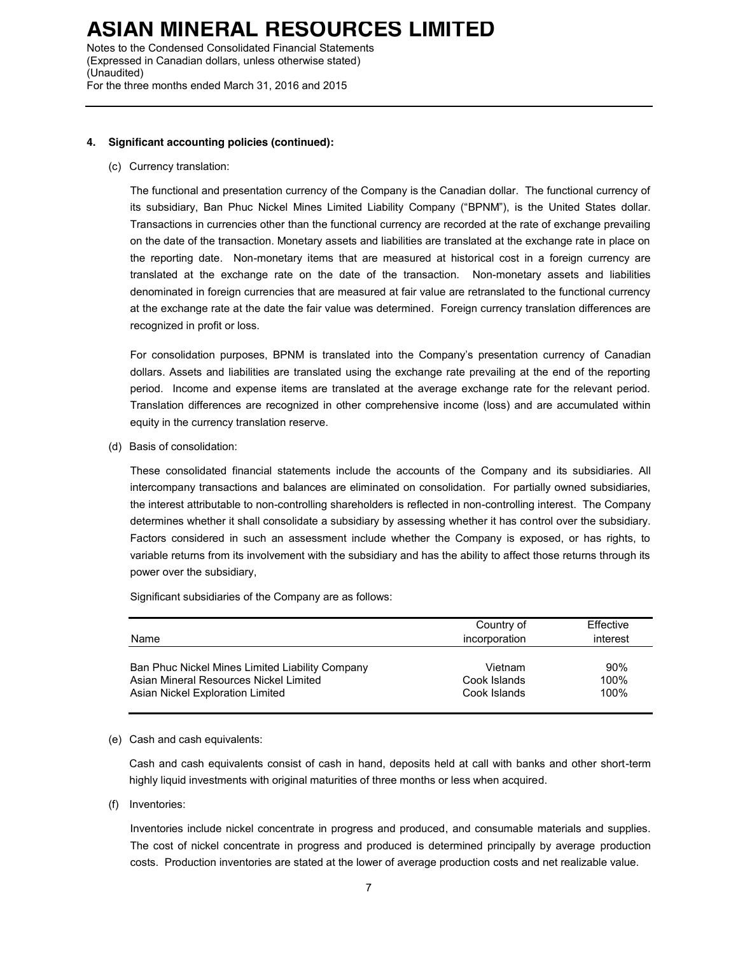Notes to the Condensed Consolidated Financial Statements (Expressed in Canadian dollars, unless otherwise stated) (Unaudited) For the three months ended March 31, 2016 and 2015

### **4. Significant accounting policies (continued):**

(c) Currency translation:

The functional and presentation currency of the Company is the Canadian dollar. The functional currency of its subsidiary, Ban Phuc Nickel Mines Limited Liability Company ("BPNM"), is the United States dollar. Transactions in currencies other than the functional currency are recorded at the rate of exchange prevailing on the date of the transaction. Monetary assets and liabilities are translated at the exchange rate in place on the reporting date. Non-monetary items that are measured at historical cost in a foreign currency are translated at the exchange rate on the date of the transaction. Non-monetary assets and liabilities denominated in foreign currencies that are measured at fair value are retranslated to the functional currency at the exchange rate at the date the fair value was determined. Foreign currency translation differences are recognized in profit or loss.

For consolidation purposes, BPNM is translated into the Company's presentation currency of Canadian dollars. Assets and liabilities are translated using the exchange rate prevailing at the end of the reporting period. Income and expense items are translated at the average exchange rate for the relevant period. Translation differences are recognized in other comprehensive income (loss) and are accumulated within equity in the currency translation reserve.

(d) Basis of consolidation:

These consolidated financial statements include the accounts of the Company and its subsidiaries. All intercompany transactions and balances are eliminated on consolidation. For partially owned subsidiaries, the interest attributable to non-controlling shareholders is reflected in non-controlling interest. The Company determines whether it shall consolidate a subsidiary by assessing whether it has control over the subsidiary. Factors considered in such an assessment include whether the Company is exposed, or has rights, to variable returns from its involvement with the subsidiary and has the ability to affect those returns through its power over the subsidiary,

Significant subsidiaries of the Company are as follows:

| Name                                            | Country of<br>incorporation | Effective<br>interest |
|-------------------------------------------------|-----------------------------|-----------------------|
| Ban Phuc Nickel Mines Limited Liability Company | Vietnam                     | 90%                   |
| Asian Mineral Resources Nickel Limited          | Cook Islands                | 100%                  |
| Asian Nickel Exploration Limited                | Cook Islands                | 100%                  |

### (e) Cash and cash equivalents:

Cash and cash equivalents consist of cash in hand, deposits held at call with banks and other short-term highly liquid investments with original maturities of three months or less when acquired.

(f) Inventories:

Inventories include nickel concentrate in progress and produced, and consumable materials and supplies. The cost of nickel concentrate in progress and produced is determined principally by average production costs. Production inventories are stated at the lower of average production costs and net realizable value.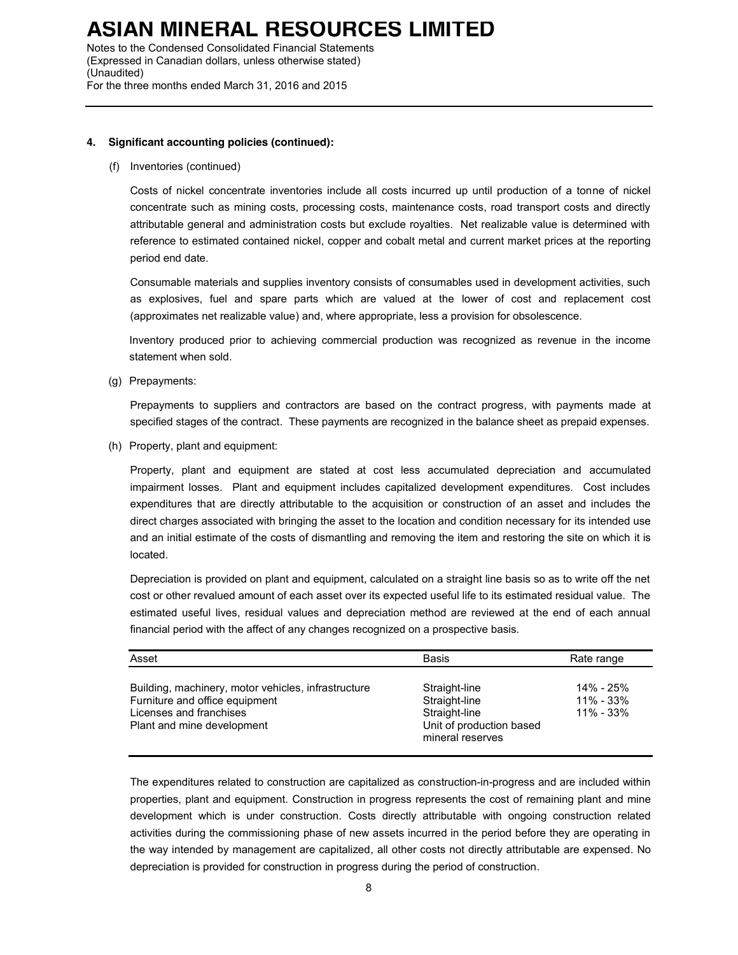Notes to the Condensed Consolidated Financial Statements (Expressed in Canadian dollars, unless otherwise stated) (Unaudited) For the three months ended March 31, 2016 and 2015

### **4. Significant accounting policies (continued):**

#### (f) Inventories (continued)

Costs of nickel concentrate inventories include all costs incurred up until production of a tonne of nickel concentrate such as mining costs, processing costs, maintenance costs, road transport costs and directly attributable general and administration costs but exclude royalties. Net realizable value is determined with reference to estimated contained nickel, copper and cobalt metal and current market prices at the reporting period end date.

Consumable materials and supplies inventory consists of consumables used in development activities, such as explosives, fuel and spare parts which are valued at the lower of cost and replacement cost (approximates net realizable value) and, where appropriate, less a provision for obsolescence.

Inventory produced prior to achieving commercial production was recognized as revenue in the income statement when sold.

(g) Prepayments:

Prepayments to suppliers and contractors are based on the contract progress, with payments made at specified stages of the contract. These payments are recognized in the balance sheet as prepaid expenses.

(h) Property, plant and equipment:

Property, plant and equipment are stated at cost less accumulated depreciation and accumulated impairment losses. Plant and equipment includes capitalized development expenditures. Cost includes expenditures that are directly attributable to the acquisition or construction of an asset and includes the direct charges associated with bringing the asset to the location and condition necessary for its intended use and an initial estimate of the costs of dismantling and removing the item and restoring the site on which it is located.

Depreciation is provided on plant and equipment, calculated on a straight line basis so as to write off the net cost or other revalued amount of each asset over its expected useful life to its estimated residual value. The estimated useful lives, residual values and depreciation method are reviewed at the end of each annual financial period with the affect of any changes recognized on a prospective basis.

| Asset                                                                                                                                          | <b>Basis</b>                                                                                    | Rate range                                  |
|------------------------------------------------------------------------------------------------------------------------------------------------|-------------------------------------------------------------------------------------------------|---------------------------------------------|
| Building, machinery, motor vehicles, infrastructure<br>Furniture and office equipment<br>Licenses and franchises<br>Plant and mine development | Straight-line<br>Straight-line<br>Straight-line<br>Unit of production based<br>mineral reserves | 14% - 25%<br>$11\% - 33\%$<br>$11\% - 33\%$ |

The expenditures related to construction are capitalized as construction-in-progress and are included within properties, plant and equipment. Construction in progress represents the cost of remaining plant and mine development which is under construction. Costs directly attributable with ongoing construction related activities during the commissioning phase of new assets incurred in the period before they are operating in the way intended by management are capitalized, all other costs not directly attributable are expensed. No depreciation is provided for construction in progress during the period of construction.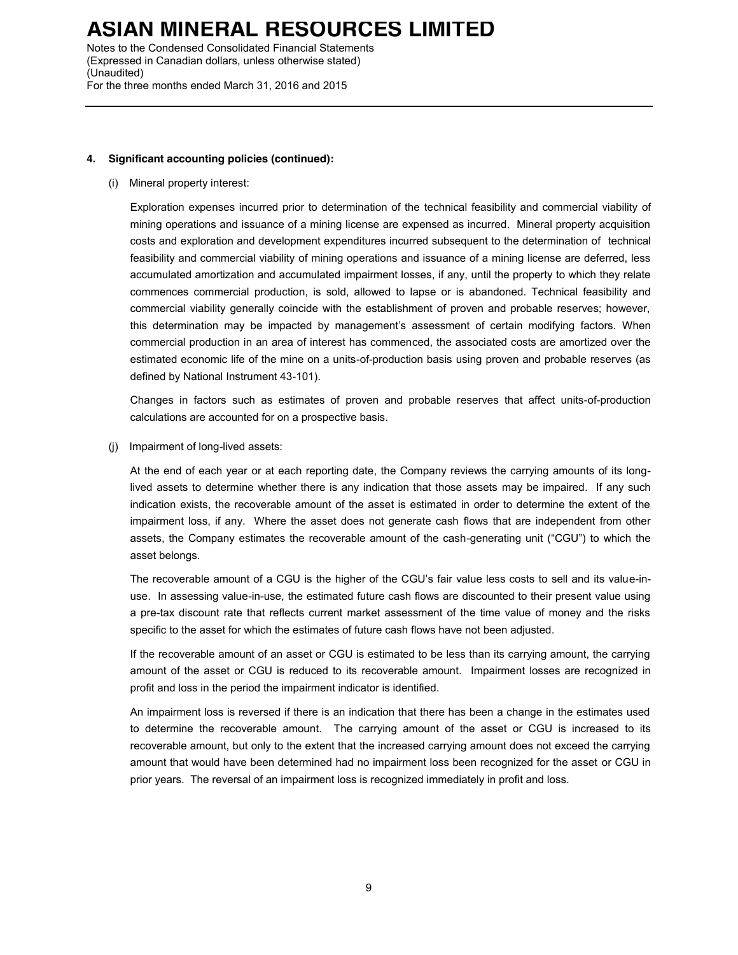Notes to the Condensed Consolidated Financial Statements (Expressed in Canadian dollars, unless otherwise stated) (Unaudited) For the three months ended March 31, 2016 and 2015

### **4. Significant accounting policies (continued):**

(i) Mineral property interest:

Exploration expenses incurred prior to determination of the technical feasibility and commercial viability of mining operations and issuance of a mining license are expensed as incurred. Mineral property acquisition costs and exploration and development expenditures incurred subsequent to the determination of technical feasibility and commercial viability of mining operations and issuance of a mining license are deferred, less accumulated amortization and accumulated impairment losses, if any, until the property to which they relate commences commercial production, is sold, allowed to lapse or is abandoned. Technical feasibility and commercial viability generally coincide with the establishment of proven and probable reserves; however, this determination may be impacted by management's assessment of certain modifying factors. When commercial production in an area of interest has commenced, the associated costs are amortized over the estimated economic life of the mine on a units-of-production basis using proven and probable reserves (as defined by National Instrument 43-101).

Changes in factors such as estimates of proven and probable reserves that affect units-of-production calculations are accounted for on a prospective basis.

(j) Impairment of long-lived assets:

At the end of each year or at each reporting date, the Company reviews the carrying amounts of its longlived assets to determine whether there is any indication that those assets may be impaired. If any such indication exists, the recoverable amount of the asset is estimated in order to determine the extent of the impairment loss, if any. Where the asset does not generate cash flows that are independent from other assets, the Company estimates the recoverable amount of the cash-generating unit ("CGU") to which the asset belongs.

The recoverable amount of a CGU is the higher of the CGU's fair value less costs to sell and its value-inuse. In assessing value-in-use, the estimated future cash flows are discounted to their present value using a pre-tax discount rate that reflects current market assessment of the time value of money and the risks specific to the asset for which the estimates of future cash flows have not been adjusted.

If the recoverable amount of an asset or CGU is estimated to be less than its carrying amount, the carrying amount of the asset or CGU is reduced to its recoverable amount. Impairment losses are recognized in profit and loss in the period the impairment indicator is identified.

An impairment loss is reversed if there is an indication that there has been a change in the estimates used to determine the recoverable amount. The carrying amount of the asset or CGU is increased to its recoverable amount, but only to the extent that the increased carrying amount does not exceed the carrying amount that would have been determined had no impairment loss been recognized for the asset or CGU in prior years. The reversal of an impairment loss is recognized immediately in profit and loss.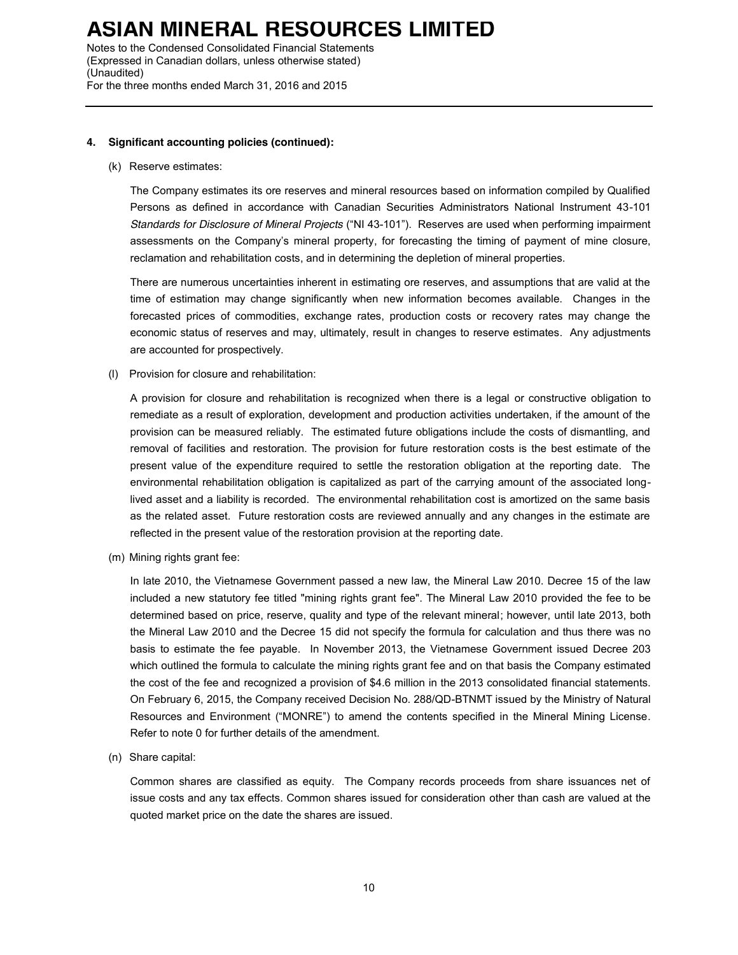Notes to the Condensed Consolidated Financial Statements (Expressed in Canadian dollars, unless otherwise stated) (Unaudited) For the three months ended March 31, 2016 and 2015

#### **4. Significant accounting policies (continued):**

#### (k) Reserve estimates:

The Company estimates its ore reserves and mineral resources based on information compiled by Qualified Persons as defined in accordance with Canadian Securities Administrators National Instrument 43-101 *Standards for Disclosure of Mineral Projects* ("NI 43-101"). Reserves are used when performing impairment assessments on the Company's mineral property, for forecasting the timing of payment of mine closure, reclamation and rehabilitation costs, and in determining the depletion of mineral properties.

There are numerous uncertainties inherent in estimating ore reserves, and assumptions that are valid at the time of estimation may change significantly when new information becomes available. Changes in the forecasted prices of commodities, exchange rates, production costs or recovery rates may change the economic status of reserves and may, ultimately, result in changes to reserve estimates. Any adjustments are accounted for prospectively.

(l) Provision for closure and rehabilitation:

A provision for closure and rehabilitation is recognized when there is a legal or constructive obligation to remediate as a result of exploration, development and production activities undertaken, if the amount of the provision can be measured reliably. The estimated future obligations include the costs of dismantling, and removal of facilities and restoration. The provision for future restoration costs is the best estimate of the present value of the expenditure required to settle the restoration obligation at the reporting date. The environmental rehabilitation obligation is capitalized as part of the carrying amount of the associated longlived asset and a liability is recorded. The environmental rehabilitation cost is amortized on the same basis as the related asset. Future restoration costs are reviewed annually and any changes in the estimate are reflected in the present value of the restoration provision at the reporting date.

(m) Mining rights grant fee:

In late 2010, the Vietnamese Government passed a new law, the Mineral Law 2010. Decree 15 of the law included a new statutory fee titled "mining rights grant fee". The Mineral Law 2010 provided the fee to be determined based on price, reserve, quality and type of the relevant mineral; however, until late 2013, both the Mineral Law 2010 and the Decree 15 did not specify the formula for calculation and thus there was no basis to estimate the fee payable. In November 2013, the Vietnamese Government issued Decree 203 which outlined the formula to calculate the mining rights grant fee and on that basis the Company estimated the cost of the fee and recognized a provision of \$4.6 million in the 2013 consolidated financial statements. On February 6, 2015, the Company received Decision No. 288/QD-BTNMT issued by the Ministry of Natural Resources and Environment ("MONRE") to amend the contents specified in the Mineral Mining License. Refer to note 0 for further details of the amendment.

(n) Share capital:

Common shares are classified as equity. The Company records proceeds from share issuances net of issue costs and any tax effects. Common shares issued for consideration other than cash are valued at the quoted market price on the date the shares are issued.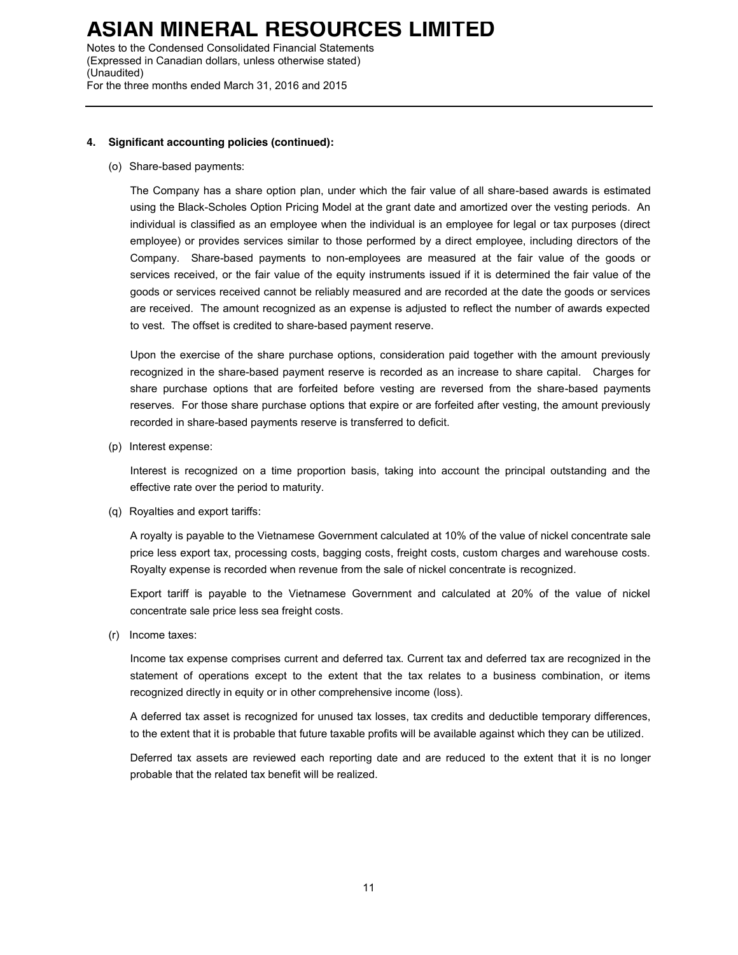Notes to the Condensed Consolidated Financial Statements (Expressed in Canadian dollars, unless otherwise stated) (Unaudited) For the three months ended March 31, 2016 and 2015

### **4. Significant accounting policies (continued):**

(o) Share-based payments:

The Company has a share option plan, under which the fair value of all share-based awards is estimated using the Black-Scholes Option Pricing Model at the grant date and amortized over the vesting periods. An individual is classified as an employee when the individual is an employee for legal or tax purposes (direct employee) or provides services similar to those performed by a direct employee, including directors of the Company. Share-based payments to non-employees are measured at the fair value of the goods or services received, or the fair value of the equity instruments issued if it is determined the fair value of the goods or services received cannot be reliably measured and are recorded at the date the goods or services are received. The amount recognized as an expense is adjusted to reflect the number of awards expected to vest. The offset is credited to share-based payment reserve.

Upon the exercise of the share purchase options, consideration paid together with the amount previously recognized in the share-based payment reserve is recorded as an increase to share capital. Charges for share purchase options that are forfeited before vesting are reversed from the share-based payments reserves. For those share purchase options that expire or are forfeited after vesting, the amount previously recorded in share-based payments reserve is transferred to deficit.

(p) Interest expense:

Interest is recognized on a time proportion basis, taking into account the principal outstanding and the effective rate over the period to maturity.

(q) Royalties and export tariffs:

A royalty is payable to the Vietnamese Government calculated at 10% of the value of nickel concentrate sale price less export tax, processing costs, bagging costs, freight costs, custom charges and warehouse costs. Royalty expense is recorded when revenue from the sale of nickel concentrate is recognized.

Export tariff is payable to the Vietnamese Government and calculated at 20% of the value of nickel concentrate sale price less sea freight costs.

(r) Income taxes:

Income tax expense comprises current and deferred tax. Current tax and deferred tax are recognized in the statement of operations except to the extent that the tax relates to a business combination, or items recognized directly in equity or in other comprehensive income (loss).

A deferred tax asset is recognized for unused tax losses, tax credits and deductible temporary differences, to the extent that it is probable that future taxable profits will be available against which they can be utilized.

Deferred tax assets are reviewed each reporting date and are reduced to the extent that it is no longer probable that the related tax benefit will be realized.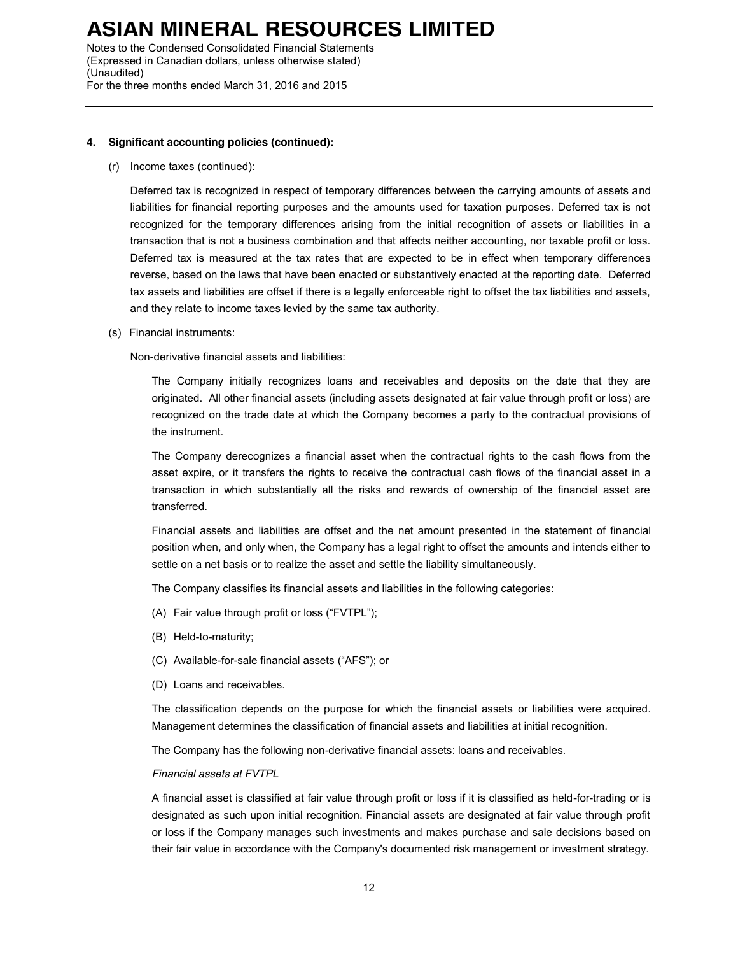Notes to the Condensed Consolidated Financial Statements (Expressed in Canadian dollars, unless otherwise stated) (Unaudited) For the three months ended March 31, 2016 and 2015

#### **4. Significant accounting policies (continued):**

(r) Income taxes (continued):

Deferred tax is recognized in respect of temporary differences between the carrying amounts of assets and liabilities for financial reporting purposes and the amounts used for taxation purposes. Deferred tax is not recognized for the temporary differences arising from the initial recognition of assets or liabilities in a transaction that is not a business combination and that affects neither accounting, nor taxable profit or loss. Deferred tax is measured at the tax rates that are expected to be in effect when temporary differences reverse, based on the laws that have been enacted or substantively enacted at the reporting date. Deferred tax assets and liabilities are offset if there is a legally enforceable right to offset the tax liabilities and assets, and they relate to income taxes levied by the same tax authority.

(s) Financial instruments:

Non-derivative financial assets and liabilities:

The Company initially recognizes loans and receivables and deposits on the date that they are originated. All other financial assets (including assets designated at fair value through profit or loss) are recognized on the trade date at which the Company becomes a party to the contractual provisions of the instrument.

The Company derecognizes a financial asset when the contractual rights to the cash flows from the asset expire, or it transfers the rights to receive the contractual cash flows of the financial asset in a transaction in which substantially all the risks and rewards of ownership of the financial asset are transferred.

Financial assets and liabilities are offset and the net amount presented in the statement of financial position when, and only when, the Company has a legal right to offset the amounts and intends either to settle on a net basis or to realize the asset and settle the liability simultaneously.

The Company classifies its financial assets and liabilities in the following categories:

- (A) Fair value through profit or loss ("FVTPL");
- (B) Held-to-maturity;
- (C) Available-for-sale financial assets ("AFS"); or
- (D) Loans and receivables.

The classification depends on the purpose for which the financial assets or liabilities were acquired. Management determines the classification of financial assets and liabilities at initial recognition.

The Company has the following non-derivative financial assets: loans and receivables.

#### *Financial assets at FVTPL*

A financial asset is classified at fair value through profit or loss if it is classified as held-for-trading or is designated as such upon initial recognition. Financial assets are designated at fair value through profit or loss if the Company manages such investments and makes purchase and sale decisions based on their fair value in accordance with the Company's documented risk management or investment strategy.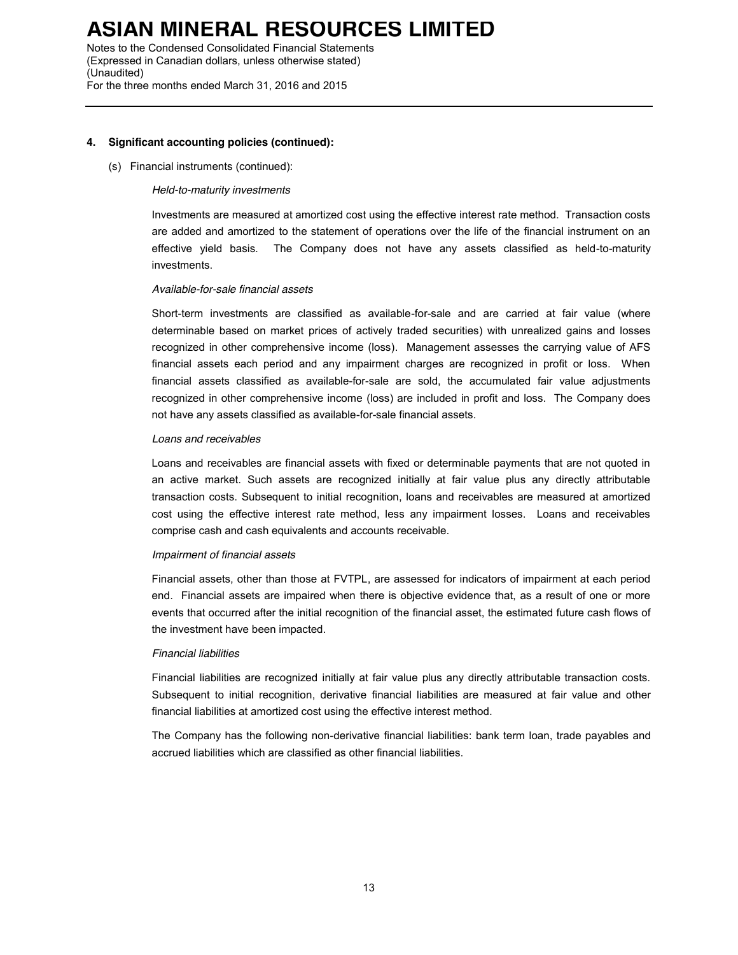Notes to the Condensed Consolidated Financial Statements (Expressed in Canadian dollars, unless otherwise stated) (Unaudited) For the three months ended March 31, 2016 and 2015

#### **4. Significant accounting policies (continued):**

#### (s) Financial instruments (continued):

#### *Held-to-maturity investments*

Investments are measured at amortized cost using the effective interest rate method. Transaction costs are added and amortized to the statement of operations over the life of the financial instrument on an effective yield basis. The Company does not have any assets classified as held-to-maturity investments.

### *Available-for-sale financial assets*

Short-term investments are classified as available-for-sale and are carried at fair value (where determinable based on market prices of actively traded securities) with unrealized gains and losses recognized in other comprehensive income (loss). Management assesses the carrying value of AFS financial assets each period and any impairment charges are recognized in profit or loss. When financial assets classified as available-for-sale are sold, the accumulated fair value adjustments recognized in other comprehensive income (loss) are included in profit and loss. The Company does not have any assets classified as available-for-sale financial assets.

#### *Loans and receivables*

Loans and receivables are financial assets with fixed or determinable payments that are not quoted in an active market. Such assets are recognized initially at fair value plus any directly attributable transaction costs. Subsequent to initial recognition, loans and receivables are measured at amortized cost using the effective interest rate method, less any impairment losses. Loans and receivables comprise cash and cash equivalents and accounts receivable.

### *Impairment of financial assets*

Financial assets, other than those at FVTPL, are assessed for indicators of impairment at each period end. Financial assets are impaired when there is objective evidence that, as a result of one or more events that occurred after the initial recognition of the financial asset, the estimated future cash flows of the investment have been impacted.

### *Financial liabilities*

Financial liabilities are recognized initially at fair value plus any directly attributable transaction costs. Subsequent to initial recognition, derivative financial liabilities are measured at fair value and other financial liabilities at amortized cost using the effective interest method.

The Company has the following non-derivative financial liabilities: bank term loan, trade payables and accrued liabilities which are classified as other financial liabilities.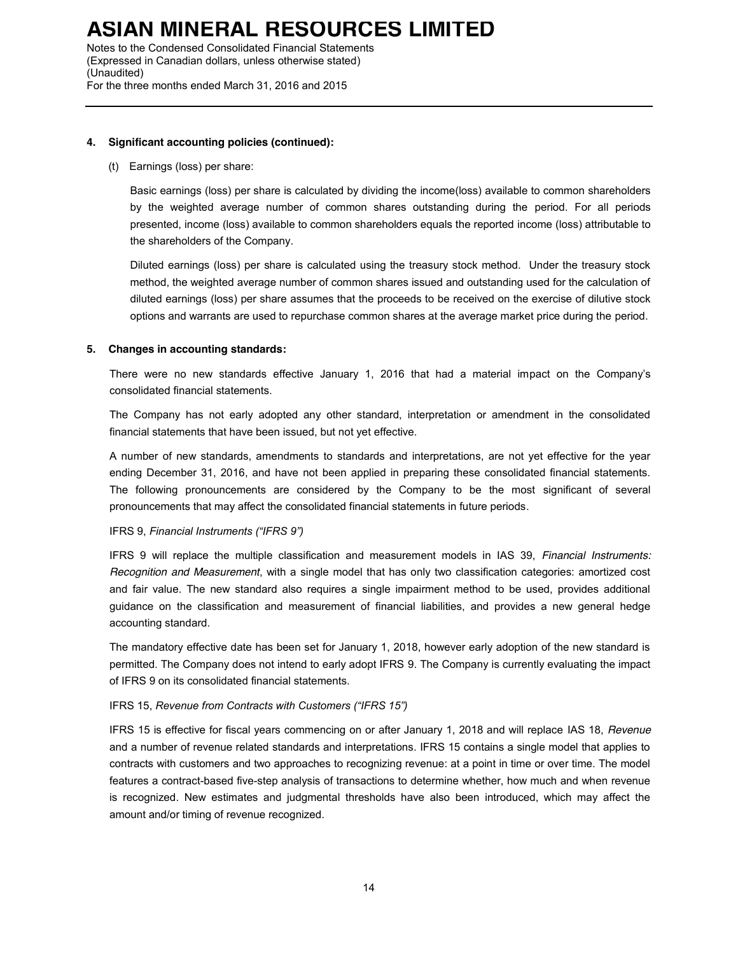Notes to the Condensed Consolidated Financial Statements (Expressed in Canadian dollars, unless otherwise stated) (Unaudited) For the three months ended March 31, 2016 and 2015

#### **4. Significant accounting policies (continued):**

(t) Earnings (loss) per share:

Basic earnings (loss) per share is calculated by dividing the income(loss) available to common shareholders by the weighted average number of common shares outstanding during the period. For all periods presented, income (loss) available to common shareholders equals the reported income (loss) attributable to the shareholders of the Company.

Diluted earnings (loss) per share is calculated using the treasury stock method. Under the treasury stock method, the weighted average number of common shares issued and outstanding used for the calculation of diluted earnings (loss) per share assumes that the proceeds to be received on the exercise of dilutive stock options and warrants are used to repurchase common shares at the average market price during the period.

### **5. Changes in accounting standards:**

There were no new standards effective January 1, 2016 that had a material impact on the Company's consolidated financial statements.

The Company has not early adopted any other standard, interpretation or amendment in the consolidated financial statements that have been issued, but not yet effective.

A number of new standards, amendments to standards and interpretations, are not yet effective for the year ending December 31, 2016, and have not been applied in preparing these consolidated financial statements. The following pronouncements are considered by the Company to be the most significant of several pronouncements that may affect the consolidated financial statements in future periods.

### IFRS 9, *Financial Instruments ("IFRS 9")*

IFRS 9 will replace the multiple classification and measurement models in IAS 39, *Financial Instruments: Recognition and Measurement*, with a single model that has only two classification categories: amortized cost and fair value. The new standard also requires a single impairment method to be used, provides additional guidance on the classification and measurement of financial liabilities, and provides a new general hedge accounting standard.

The mandatory effective date has been set for January 1, 2018, however early adoption of the new standard is permitted. The Company does not intend to early adopt IFRS 9. The Company is currently evaluating the impact of IFRS 9 on its consolidated financial statements.

### IFRS 15, *Revenue from Contracts with Customers ("IFRS 15")*

IFRS 15 is effective for fiscal years commencing on or after January 1, 2018 and will replace IAS 18, *Revenue* and a number of revenue related standards and interpretations. IFRS 15 contains a single model that applies to contracts with customers and two approaches to recognizing revenue: at a point in time or over time. The model features a contract-based five-step analysis of transactions to determine whether, how much and when revenue is recognized. New estimates and judgmental thresholds have also been introduced, which may affect the amount and/or timing of revenue recognized.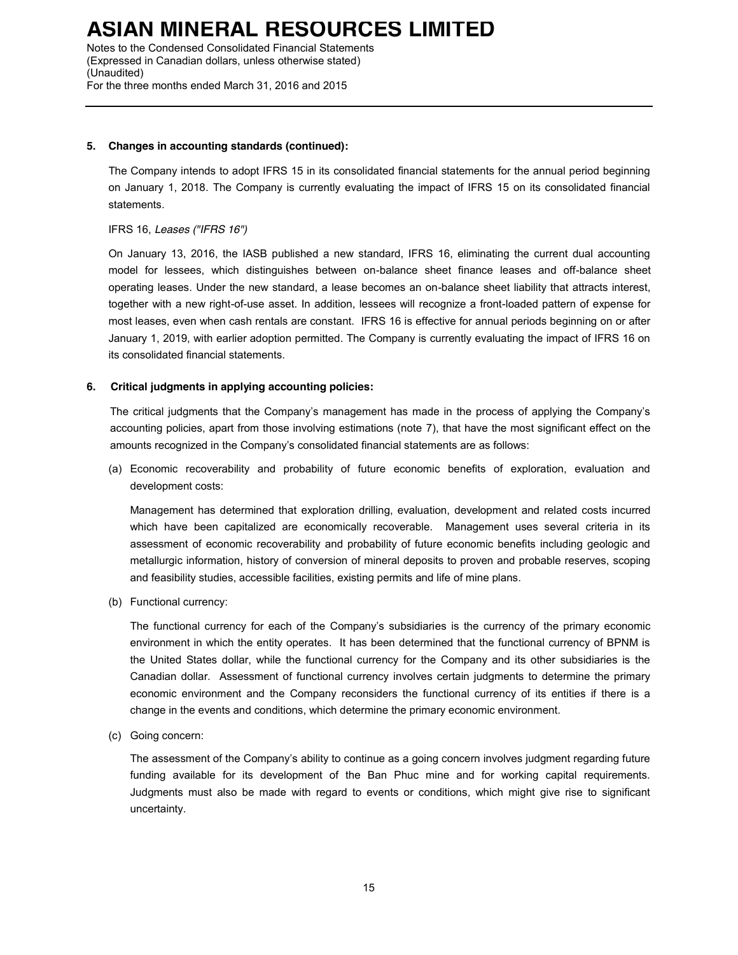Notes to the Condensed Consolidated Financial Statements (Expressed in Canadian dollars, unless otherwise stated) (Unaudited) For the three months ended March 31, 2016 and 2015

### **5. Changes in accounting standards (continued):**

The Company intends to adopt IFRS 15 in its consolidated financial statements for the annual period beginning on January 1, 2018. The Company is currently evaluating the impact of IFRS 15 on its consolidated financial statements.

### IFRS 16, *Leases ("IFRS 16")*

On January 13, 2016, the IASB published a new standard, IFRS 16, eliminating the current dual accounting model for lessees, which distinguishes between on-balance sheet finance leases and off-balance sheet operating leases. Under the new standard, a lease becomes an on-balance sheet liability that attracts interest, together with a new right-of-use asset. In addition, lessees will recognize a front-loaded pattern of expense for most leases, even when cash rentals are constant. IFRS 16 is effective for annual periods beginning on or after January 1, 2019, with earlier adoption permitted. The Company is currently evaluating the impact of IFRS 16 on its consolidated financial statements.

### **6. Critical judgments in applying accounting policies:**

The critical judgments that the Company's management has made in the process of applying the Company's accounting policies, apart from those involving estimations (note 7), that have the most significant effect on the amounts recognized in the Company's consolidated financial statements are as follows:

(a) Economic recoverability and probability of future economic benefits of exploration, evaluation and development costs:

Management has determined that exploration drilling, evaluation, development and related costs incurred which have been capitalized are economically recoverable. Management uses several criteria in its assessment of economic recoverability and probability of future economic benefits including geologic and metallurgic information, history of conversion of mineral deposits to proven and probable reserves, scoping and feasibility studies, accessible facilities, existing permits and life of mine plans.

(b) Functional currency:

The functional currency for each of the Company's subsidiaries is the currency of the primary economic environment in which the entity operates. It has been determined that the functional currency of BPNM is the United States dollar, while the functional currency for the Company and its other subsidiaries is the Canadian dollar. Assessment of functional currency involves certain judgments to determine the primary economic environment and the Company reconsiders the functional currency of its entities if there is a change in the events and conditions, which determine the primary economic environment.

(c) Going concern:

The assessment of the Company's ability to continue as a going concern involves judgment regarding future funding available for its development of the Ban Phuc mine and for working capital requirements. Judgments must also be made with regard to events or conditions, which might give rise to significant uncertainty.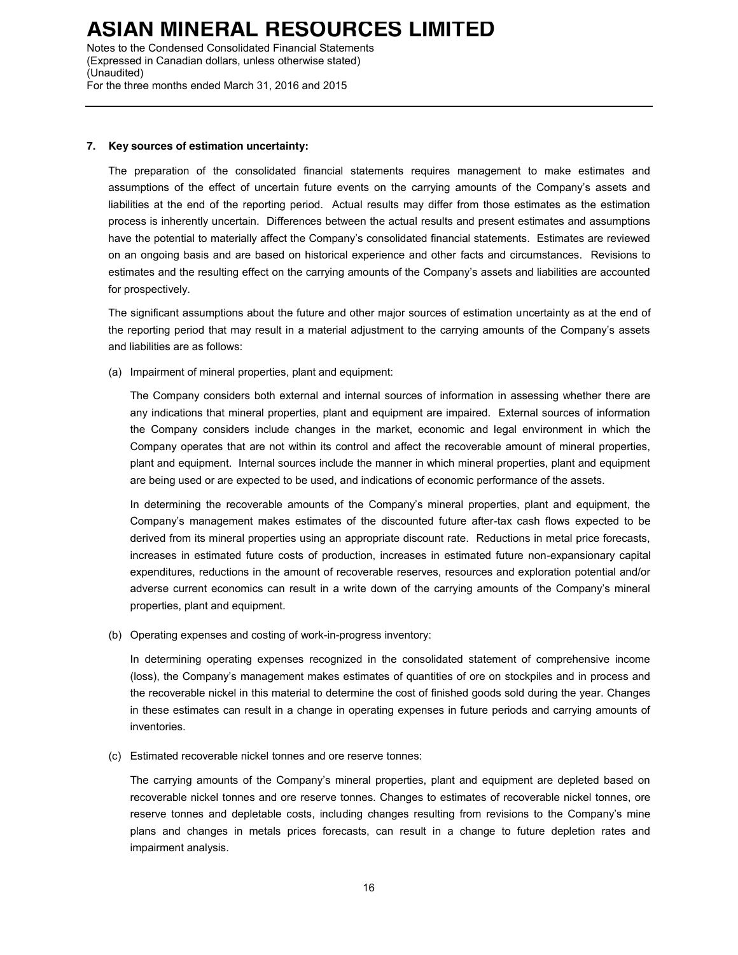Notes to the Condensed Consolidated Financial Statements (Expressed in Canadian dollars, unless otherwise stated) (Unaudited) For the three months ended March 31, 2016 and 2015

### **7. Key sources of estimation uncertainty:**

The preparation of the consolidated financial statements requires management to make estimates and assumptions of the effect of uncertain future events on the carrying amounts of the Company's assets and liabilities at the end of the reporting period. Actual results may differ from those estimates as the estimation process is inherently uncertain. Differences between the actual results and present estimates and assumptions have the potential to materially affect the Company's consolidated financial statements. Estimates are reviewed on an ongoing basis and are based on historical experience and other facts and circumstances. Revisions to estimates and the resulting effect on the carrying amounts of the Company's assets and liabilities are accounted for prospectively.

The significant assumptions about the future and other major sources of estimation uncertainty as at the end of the reporting period that may result in a material adjustment to the carrying amounts of the Company's assets and liabilities are as follows:

(a) Impairment of mineral properties, plant and equipment:

The Company considers both external and internal sources of information in assessing whether there are any indications that mineral properties, plant and equipment are impaired. External sources of information the Company considers include changes in the market, economic and legal environment in which the Company operates that are not within its control and affect the recoverable amount of mineral properties, plant and equipment. Internal sources include the manner in which mineral properties, plant and equipment are being used or are expected to be used, and indications of economic performance of the assets.

In determining the recoverable amounts of the Company's mineral properties, plant and equipment, the Company's management makes estimates of the discounted future after-tax cash flows expected to be derived from its mineral properties using an appropriate discount rate. Reductions in metal price forecasts, increases in estimated future costs of production, increases in estimated future non-expansionary capital expenditures, reductions in the amount of recoverable reserves, resources and exploration potential and/or adverse current economics can result in a write down of the carrying amounts of the Company's mineral properties, plant and equipment.

(b) Operating expenses and costing of work-in-progress inventory:

In determining operating expenses recognized in the consolidated statement of comprehensive income (loss), the Company's management makes estimates of quantities of ore on stockpiles and in process and the recoverable nickel in this material to determine the cost of finished goods sold during the year. Changes in these estimates can result in a change in operating expenses in future periods and carrying amounts of inventories.

(c) Estimated recoverable nickel tonnes and ore reserve tonnes:

The carrying amounts of the Company's mineral properties, plant and equipment are depleted based on recoverable nickel tonnes and ore reserve tonnes. Changes to estimates of recoverable nickel tonnes, ore reserve tonnes and depletable costs, including changes resulting from revisions to the Company's mine plans and changes in metals prices forecasts, can result in a change to future depletion rates and impairment analysis.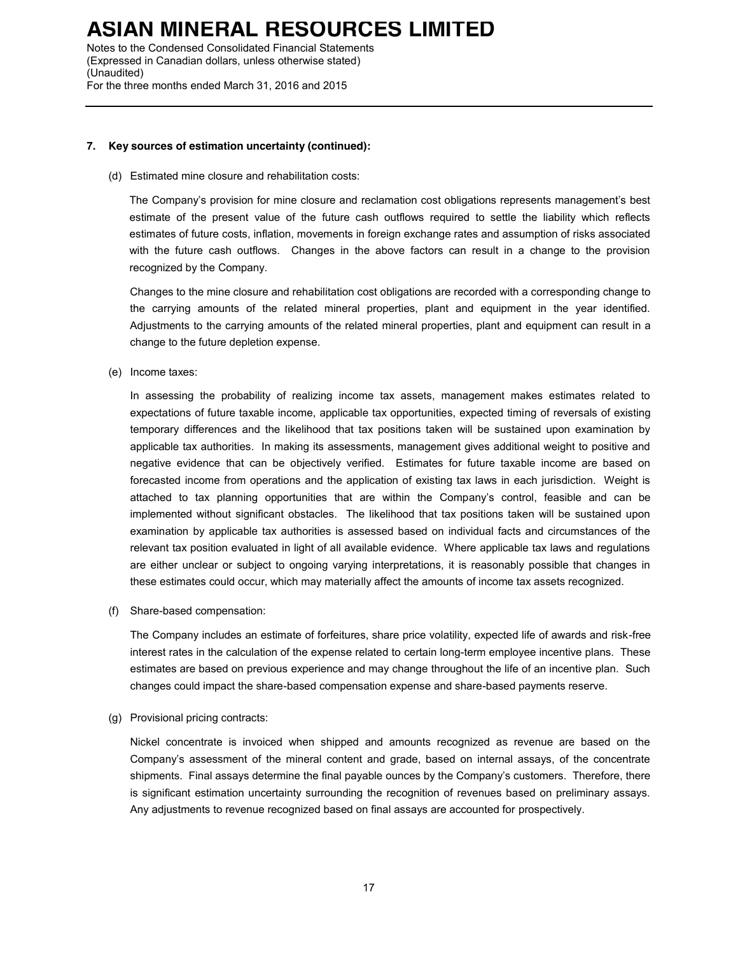Notes to the Condensed Consolidated Financial Statements (Expressed in Canadian dollars, unless otherwise stated) (Unaudited) For the three months ended March 31, 2016 and 2015

### **7. Key sources of estimation uncertainty (continued):**

(d) Estimated mine closure and rehabilitation costs:

The Company's provision for mine closure and reclamation cost obligations represents management's best estimate of the present value of the future cash outflows required to settle the liability which reflects estimates of future costs, inflation, movements in foreign exchange rates and assumption of risks associated with the future cash outflows. Changes in the above factors can result in a change to the provision recognized by the Company.

Changes to the mine closure and rehabilitation cost obligations are recorded with a corresponding change to the carrying amounts of the related mineral properties, plant and equipment in the year identified. Adjustments to the carrying amounts of the related mineral properties, plant and equipment can result in a change to the future depletion expense.

(e) Income taxes:

In assessing the probability of realizing income tax assets, management makes estimates related to expectations of future taxable income, applicable tax opportunities, expected timing of reversals of existing temporary differences and the likelihood that tax positions taken will be sustained upon examination by applicable tax authorities. In making its assessments, management gives additional weight to positive and negative evidence that can be objectively verified. Estimates for future taxable income are based on forecasted income from operations and the application of existing tax laws in each jurisdiction. Weight is attached to tax planning opportunities that are within the Company's control, feasible and can be implemented without significant obstacles. The likelihood that tax positions taken will be sustained upon examination by applicable tax authorities is assessed based on individual facts and circumstances of the relevant tax position evaluated in light of all available evidence. Where applicable tax laws and regulations are either unclear or subject to ongoing varying interpretations, it is reasonably possible that changes in these estimates could occur, which may materially affect the amounts of income tax assets recognized.

(f) Share-based compensation:

The Company includes an estimate of forfeitures, share price volatility, expected life of awards and risk-free interest rates in the calculation of the expense related to certain long-term employee incentive plans. These estimates are based on previous experience and may change throughout the life of an incentive plan. Such changes could impact the share-based compensation expense and share-based payments reserve.

(g) Provisional pricing contracts:

Nickel concentrate is invoiced when shipped and amounts recognized as revenue are based on the Company's assessment of the mineral content and grade, based on internal assays, of the concentrate shipments. Final assays determine the final payable ounces by the Company's customers. Therefore, there is significant estimation uncertainty surrounding the recognition of revenues based on preliminary assays. Any adjustments to revenue recognized based on final assays are accounted for prospectively.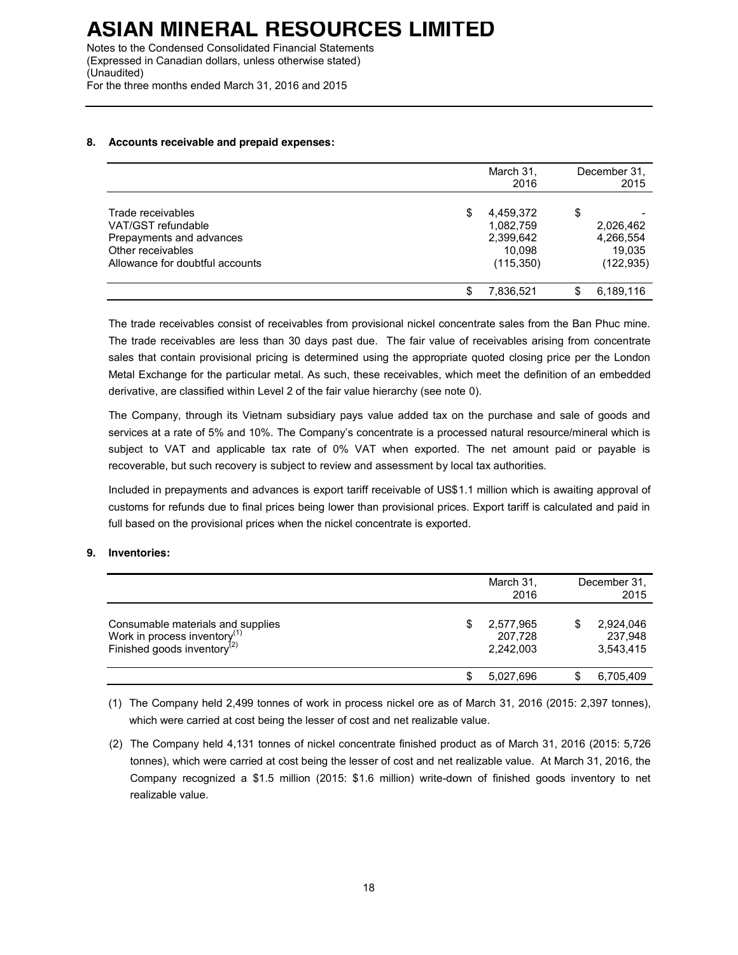(Expressed in Canadian dollars, unless otherwise stated) (Unaudited) For the three months ended March 31, 2016 and 2015

### **8. Accounts receivable and prepaid expenses:**

|                                                                                                                             |     | March 31,<br>2016                                           |    | December 31.<br>2015                           |
|-----------------------------------------------------------------------------------------------------------------------------|-----|-------------------------------------------------------------|----|------------------------------------------------|
| Trade receivables<br>VAT/GST refundable<br>Prepayments and advances<br>Other receivables<br>Allowance for doubtful accounts | \$  | 4,459,372<br>1,082,759<br>2,399,642<br>10.098<br>(115, 350) | \$ | 2,026,462<br>4,266,554<br>19.035<br>(122, 935) |
|                                                                                                                             | \$. | 7,836,521                                                   | S  | 6,189,116                                      |

The trade receivables consist of receivables from provisional nickel concentrate sales from the Ban Phuc mine. The trade receivables are less than 30 days past due. The fair value of receivables arising from concentrate sales that contain provisional pricing is determined using the appropriate quoted closing price per the London Metal Exchange for the particular metal. As such, these receivables, which meet the definition of an embedded derivative, are classified within Level 2 of the fair value hierarchy (see note 0).

The Company, through its Vietnam subsidiary pays value added tax on the purchase and sale of goods and services at a rate of 5% and 10%. The Company's concentrate is a processed natural resource/mineral which is subject to VAT and applicable tax rate of 0% VAT when exported. The net amount paid or payable is recoverable, but such recovery is subject to review and assessment by local tax authorities.

Included in prepayments and advances is export tariff receivable of US\$1.1 million which is awaiting approval of customs for refunds due to final prices being lower than provisional prices. Export tariff is calculated and paid in full based on the provisional prices when the nickel concentrate is exported.

### **9. Inventories:**

|                                                                                                                          | March 31,<br>2016                       | December 31.<br>2015              |
|--------------------------------------------------------------------------------------------------------------------------|-----------------------------------------|-----------------------------------|
| Consumable materials and supplies<br>Work in process inventory <sup>(1)</sup><br>Finished goods inventory <sup>(2)</sup> | \$<br>2,577,965<br>207,728<br>2.242.003 | 2,924,046<br>237,948<br>3,543,415 |
|                                                                                                                          | 5,027,696                               | 6,705,409                         |

(1) The Company held 2,499 tonnes of work in process nickel ore as of March 31, 2016 (2015: 2,397 tonnes), which were carried at cost being the lesser of cost and net realizable value.

(2) The Company held 4,131 tonnes of nickel concentrate finished product as of March 31, 2016 (2015: 5,726 tonnes), which were carried at cost being the lesser of cost and net realizable value. At March 31, 2016, the Company recognized a \$1.5 million (2015: \$1.6 million) write-down of finished goods inventory to net realizable value.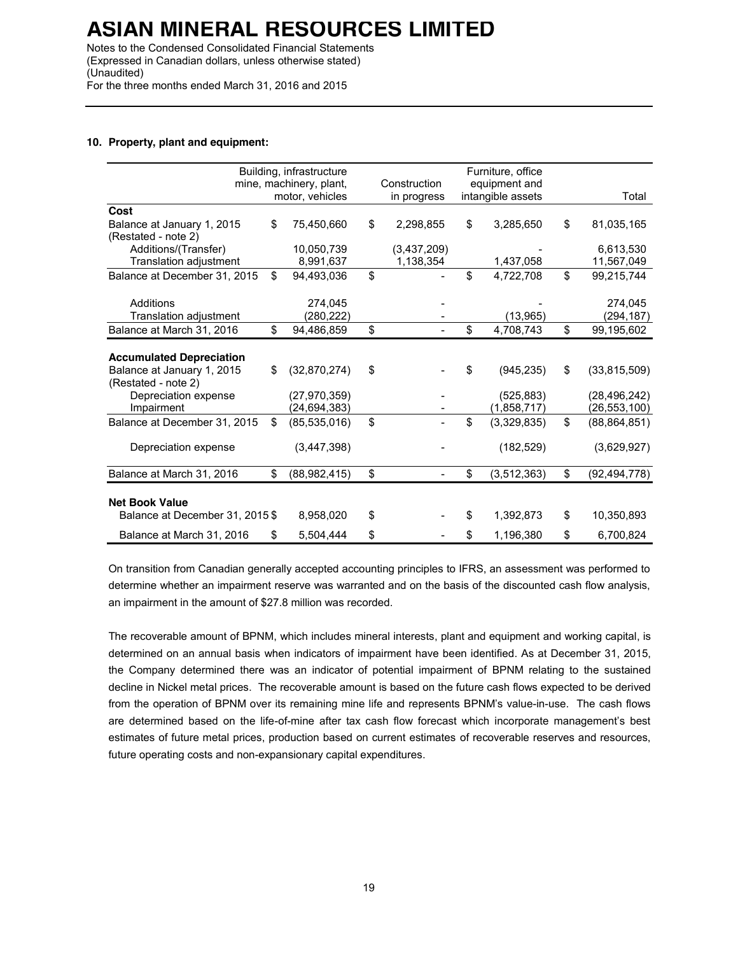Notes to the Condensed Consolidated Financial Statements (Expressed in Canadian dollars, unless otherwise stated) (Unaudited) For the three months ended March 31, 2016 and 2015

### **10. Property, plant and equipment:**

|                                                   | Building, infrastructure<br>mine, machinery, plant, | Construction    | Furniture, office<br>equipment and |                      |
|---------------------------------------------------|-----------------------------------------------------|-----------------|------------------------------------|----------------------|
|                                                   | motor, vehicles                                     | in progress     | intangible assets                  | Total                |
| Cost                                              |                                                     |                 |                                    |                      |
| Balance at January 1, 2015<br>(Restated - note 2) | \$<br>75,450,660                                    | \$<br>2,298,855 | \$<br>3,285,650                    | \$<br>81,035,165     |
| Additions/(Transfer)                              | 10,050,739                                          | (3,437,209)     |                                    | 6,613,530            |
| Translation adjustment                            | 8,991,637                                           | 1,138,354       | 1,437,058                          | 11,567,049           |
| Balance at December 31, 2015                      | \$<br>94,493,036                                    | \$              | \$<br>4,722,708                    | \$<br>99,215,744     |
| Additions                                         | 274.045                                             |                 |                                    | 274.045              |
| Translation adjustment                            | (280, 222)                                          |                 | (13,965)                           | (294, 187)           |
| Balance at March 31, 2016                         | \$<br>94,486,859                                    | \$              | \$<br>4,708,743                    | \$<br>99,195,602     |
|                                                   |                                                     |                 |                                    |                      |
| <b>Accumulated Depreciation</b>                   |                                                     |                 |                                    |                      |
| Balance at January 1, 2015<br>(Restated - note 2) | \$<br>(32,870,274)                                  | \$              | \$<br>(945, 235)                   | \$<br>(33, 815, 509) |
| Depreciation expense                              | (27, 970, 359)                                      |                 | (525, 883)                         | (28, 496, 242)       |
| Impairment                                        | (24, 694, 383)                                      |                 | (1,858,717)                        | (26, 553, 100)       |
| Balance at December 31, 2015                      | \$<br>(85, 535, 016)                                | \$              | \$<br>(3,329,835)                  | \$<br>(88, 864, 851) |
| Depreciation expense                              | (3, 447, 398)                                       |                 | (182, 529)                         | (3,629,927)          |
| Balance at March 31, 2016                         | \$<br>(88,982,415)                                  | \$              | \$<br>(3, 512, 363)                | \$<br>(92, 494, 778) |
|                                                   |                                                     |                 |                                    |                      |
| <b>Net Book Value</b>                             |                                                     |                 |                                    |                      |
| Balance at December 31, 2015 \$                   | 8,958,020                                           | \$              | \$<br>1,392,873                    | \$<br>10,350,893     |
| Balance at March 31, 2016                         | \$<br>5.504.444                                     | \$              | \$<br>1,196,380                    | \$<br>6,700,824      |

On transition from Canadian generally accepted accounting principles to IFRS, an assessment was performed to determine whether an impairment reserve was warranted and on the basis of the discounted cash flow analysis, an impairment in the amount of \$27.8 million was recorded.

The recoverable amount of BPNM, which includes mineral interests, plant and equipment and working capital, is determined on an annual basis when indicators of impairment have been identified. As at December 31, 2015, the Company determined there was an indicator of potential impairment of BPNM relating to the sustained decline in Nickel metal prices. The recoverable amount is based on the future cash flows expected to be derived from the operation of BPNM over its remaining mine life and represents BPNM's value-in-use. The cash flows are determined based on the life-of-mine after tax cash flow forecast which incorporate management's best estimates of future metal prices, production based on current estimates of recoverable reserves and resources, future operating costs and non-expansionary capital expenditures.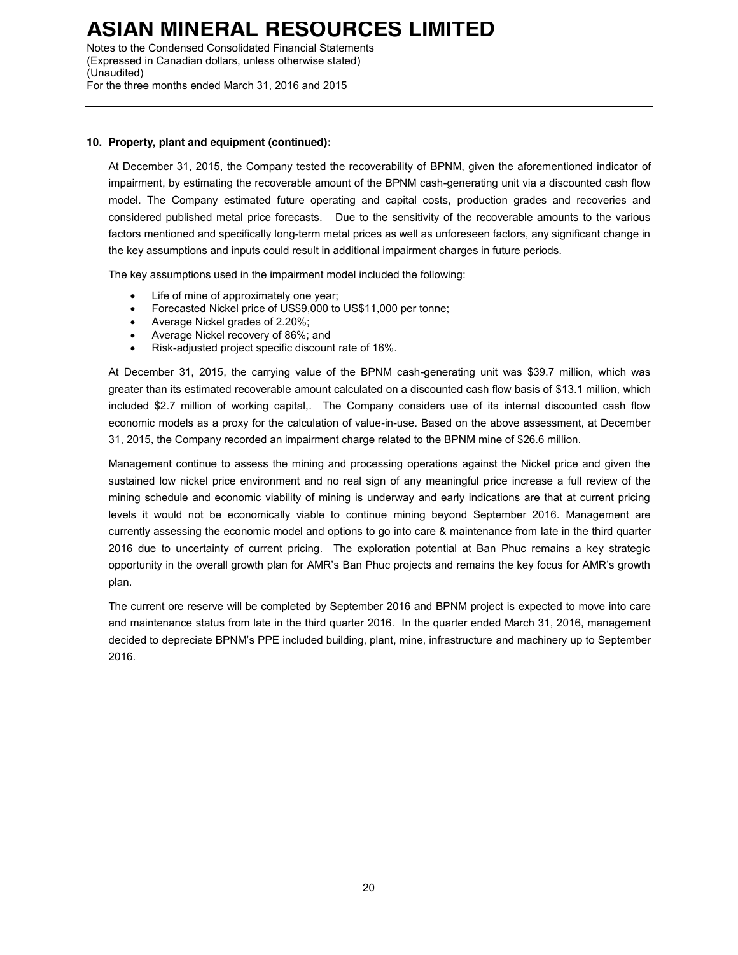Notes to the Condensed Consolidated Financial Statements (Expressed in Canadian dollars, unless otherwise stated) (Unaudited) For the three months ended March 31, 2016 and 2015

### **10. Property, plant and equipment (continued):**

At December 31, 2015, the Company tested the recoverability of BPNM, given the aforementioned indicator of impairment, by estimating the recoverable amount of the BPNM cash-generating unit via a discounted cash flow model. The Company estimated future operating and capital costs, production grades and recoveries and considered published metal price forecasts. Due to the sensitivity of the recoverable amounts to the various factors mentioned and specifically long-term metal prices as well as unforeseen factors, any significant change in the key assumptions and inputs could result in additional impairment charges in future periods.

The key assumptions used in the impairment model included the following:

- Life of mine of approximately one year;
- Forecasted Nickel price of US\$9,000 to US\$11,000 per tonne;
- Average Nickel grades of 2.20%;
- Average Nickel recovery of 86%; and
- Risk-adjusted project specific discount rate of 16%.

At December 31, 2015, the carrying value of the BPNM cash-generating unit was \$39.7 million, which was greater than its estimated recoverable amount calculated on a discounted cash flow basis of \$13.1 million, which included \$2.7 million of working capital,. The Company considers use of its internal discounted cash flow economic models as a proxy for the calculation of value-in-use. Based on the above assessment, at December 31, 2015, the Company recorded an impairment charge related to the BPNM mine of \$26.6 million.

Management continue to assess the mining and processing operations against the Nickel price and given the sustained low nickel price environment and no real sign of any meaningful price increase a full review of the mining schedule and economic viability of mining is underway and early indications are that at current pricing levels it would not be economically viable to continue mining beyond September 2016. Management are currently assessing the economic model and options to go into care & maintenance from late in the third quarter 2016 due to uncertainty of current pricing. The exploration potential at Ban Phuc remains a key strategic opportunity in the overall growth plan for AMR's Ban Phuc projects and remains the key focus for AMR's growth plan.

The current ore reserve will be completed by September 2016 and BPNM project is expected to move into care and maintenance status from late in the third quarter 2016. In the quarter ended March 31, 2016, management decided to depreciate BPNM's PPE included building, plant, mine, infrastructure and machinery up to September 2016.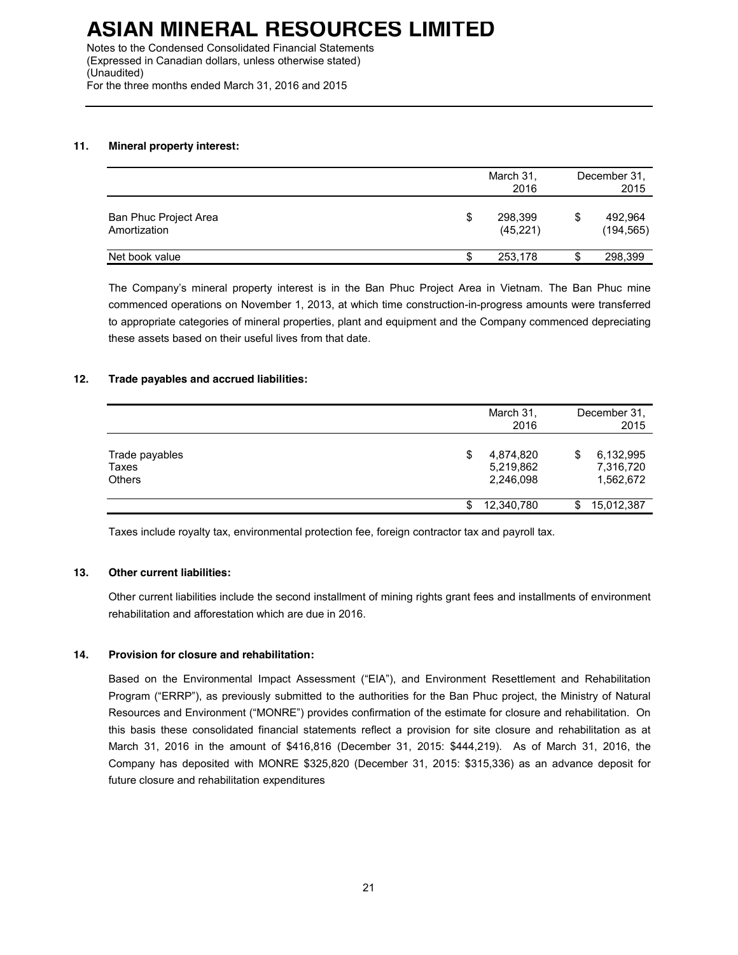Notes to the Condensed Consolidated Financial Statements (Expressed in Canadian dollars, unless otherwise stated) (Unaudited) For the three months ended March 31, 2016 and 2015

### **11. Mineral property interest:**

|                                       |   | March 31,<br>2016    |   | December 31.<br>2015  |
|---------------------------------------|---|----------------------|---|-----------------------|
| Ban Phuc Project Area<br>Amortization | S | 298,399<br>(45, 221) | S | 492,964<br>(194, 565) |
| Net book value                        |   | 253,178              |   | 298,399               |

The Company's mineral property interest is in the Ban Phuc Project Area in Vietnam. The Ban Phuc mine commenced operations on November 1, 2013, at which time construction-in-progress amounts were transferred to appropriate categories of mineral properties, plant and equipment and the Company commenced depreciating these assets based on their useful lives from that date.

### **12. Trade payables and accrued liabilities:**

|                                          | March 31,<br>2016                         |    | December 31,<br>2015                |
|------------------------------------------|-------------------------------------------|----|-------------------------------------|
| Trade payables<br>Taxes<br><b>Others</b> | \$<br>4,874,820<br>5,219,862<br>2,246,098 | \$ | 6,132,995<br>7,316,720<br>1,562,672 |
|                                          | 12,340,780                                | S  | 15,012,387                          |

Taxes include royalty tax, environmental protection fee, foreign contractor tax and payroll tax.

### **13. Other current liabilities:**

Other current liabilities include the second installment of mining rights grant fees and installments of environment rehabilitation and afforestation which are due in 2016.

### **14. Provision for closure and rehabilitation:**

Based on the Environmental Impact Assessment ("EIA"), and Environment Resettlement and Rehabilitation Program ("ERRP"), as previously submitted to the authorities for the Ban Phuc project, the Ministry of Natural Resources and Environment ("MONRE") provides confirmation of the estimate for closure and rehabilitation. On this basis these consolidated financial statements reflect a provision for site closure and rehabilitation as at March 31, 2016 in the amount of \$416,816 (December 31, 2015: \$444,219). As of March 31, 2016, the Company has deposited with MONRE \$325,820 (December 31, 2015: \$315,336) as an advance deposit for future closure and rehabilitation expenditures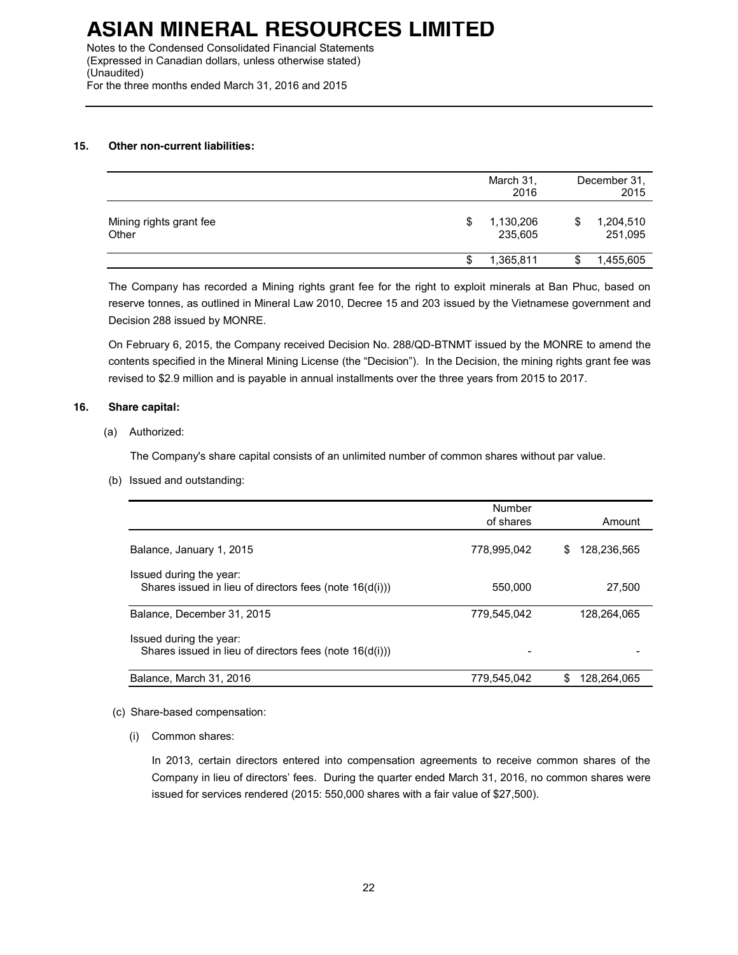Notes to the Condensed Consolidated Financial Statements (Expressed in Canadian dollars, unless otherwise stated) (Unaudited) For the three months ended March 31, 2016 and 2015

### **15. Other non-current liabilities:**

|                                  |    | March 31,<br>2016    | December 31.<br>2015       |
|----------------------------------|----|----------------------|----------------------------|
| Mining rights grant fee<br>Other | \$ | 1,130,206<br>235,605 | \$<br>1,204,510<br>251,095 |
|                                  | S  | 1,365,811            | \$<br>1,455,605            |

The Company has recorded a Mining rights grant fee for the right to exploit minerals at Ban Phuc, based on reserve tonnes, as outlined in Mineral Law 2010, Decree 15 and 203 issued by the Vietnamese government and Decision 288 issued by MONRE.

On February 6, 2015, the Company received Decision No. 288/QD-BTNMT issued by the MONRE to amend the contents specified in the Mineral Mining License (the "Decision"). In the Decision, the mining rights grant fee was revised to \$2.9 million and is payable in annual installments over the three years from 2015 to 2017.

### **16. Share capital:**

### (a) Authorized:

The Company's share capital consists of an unlimited number of common shares without par value.

(b) Issued and outstanding:

|                                                                                    | Number<br>of shares | Amount             |
|------------------------------------------------------------------------------------|---------------------|--------------------|
| Balance, January 1, 2015                                                           | 778,995,042         | \$<br>128.236.565  |
| Issued during the year:<br>Shares issued in lieu of directors fees (note 16(d(i))) | 550,000             | 27,500             |
| Balance, December 31, 2015                                                         | 779.545.042         | 128.264.065        |
| Issued during the year:<br>Shares issued in lieu of directors fees (note 16(d(i))) |                     |                    |
| Balance, March 31, 2016                                                            | 779,545,042         | \$.<br>128.264.065 |

### (c) Share-based compensation:

(i) Common shares:

In 2013, certain directors entered into compensation agreements to receive common shares of the Company in lieu of directors' fees. During the quarter ended March 31, 2016, no common shares were issued for services rendered (2015: 550,000 shares with a fair value of \$27,500).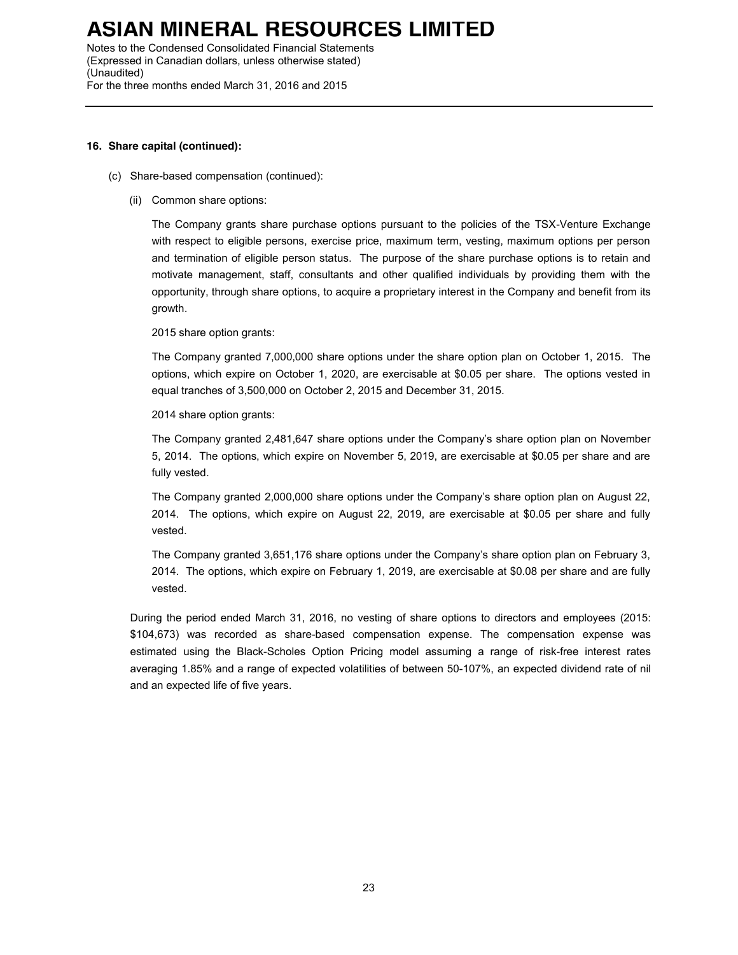Notes to the Condensed Consolidated Financial Statements (Expressed in Canadian dollars, unless otherwise stated) (Unaudited) For the three months ended March 31, 2016 and 2015

### **16. Share capital (continued):**

- (c) Share-based compensation (continued):
	- (ii) Common share options:

The Company grants share purchase options pursuant to the policies of the TSX-Venture Exchange with respect to eligible persons, exercise price, maximum term, vesting, maximum options per person and termination of eligible person status. The purpose of the share purchase options is to retain and motivate management, staff, consultants and other qualified individuals by providing them with the opportunity, through share options, to acquire a proprietary interest in the Company and benefit from its growth.

2015 share option grants:

The Company granted 7,000,000 share options under the share option plan on October 1, 2015. The options, which expire on October 1, 2020, are exercisable at \$0.05 per share. The options vested in equal tranches of 3,500,000 on October 2, 2015 and December 31, 2015.

2014 share option grants:

The Company granted 2,481,647 share options under the Company's share option plan on November 5, 2014. The options, which expire on November 5, 2019, are exercisable at \$0.05 per share and are fully vested.

The Company granted 2,000,000 share options under the Company's share option plan on August 22, 2014. The options, which expire on August 22, 2019, are exercisable at \$0.05 per share and fully vested.

The Company granted 3,651,176 share options under the Company's share option plan on February 3, 2014. The options, which expire on February 1, 2019, are exercisable at \$0.08 per share and are fully vested.

During the period ended March 31, 2016, no vesting of share options to directors and employees (2015: \$104,673) was recorded as share-based compensation expense. The compensation expense was estimated using the Black-Scholes Option Pricing model assuming a range of risk-free interest rates averaging 1.85% and a range of expected volatilities of between 50-107%, an expected dividend rate of nil and an expected life of five years.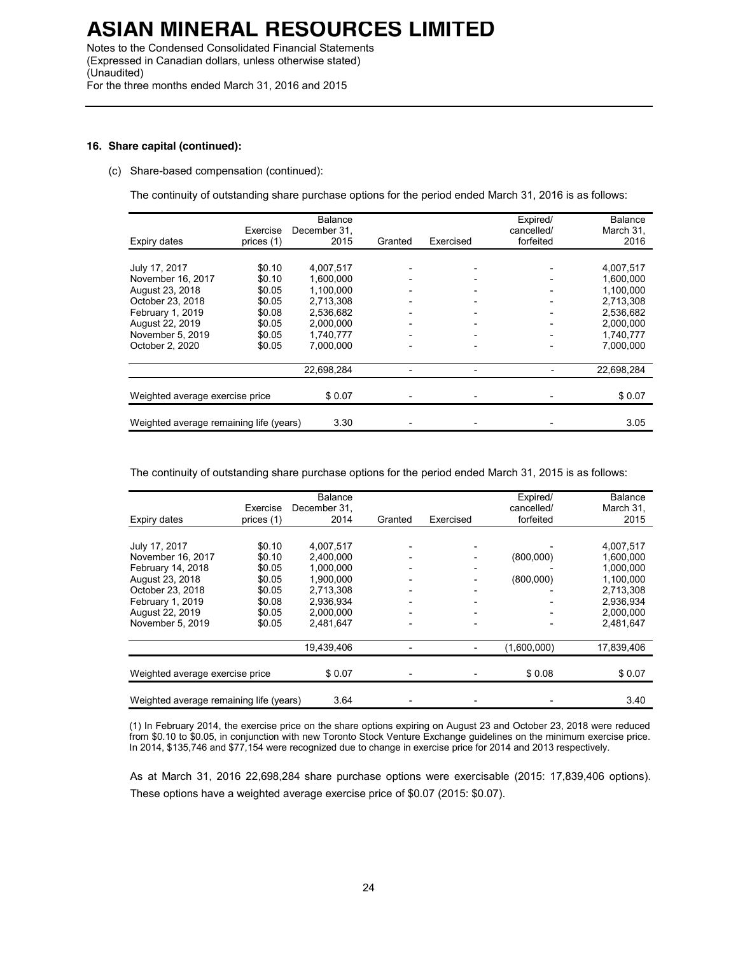Notes to the Condensed Consolidated Financial Statements (Expressed in Canadian dollars, unless otherwise stated) (Unaudited) For the three months ended March 31, 2016 and 2015

### **16. Share capital (continued):**

#### (c) Share-based compensation (continued):

The continuity of outstanding share purchase options for the period ended March 31, 2016 is as follows:

| Expiry dates                            | Exercise<br>prices (1) | <b>Balance</b><br>December 31,<br>2015 | Granted                  | Exercised                | Expired/<br>cancelled/<br>forfeited | Balance<br>March 31,<br>2016 |
|-----------------------------------------|------------------------|----------------------------------------|--------------------------|--------------------------|-------------------------------------|------------------------------|
|                                         |                        |                                        |                          |                          |                                     |                              |
| July 17, 2017                           | \$0.10                 | 4,007,517                              |                          |                          |                                     | 4,007,517                    |
| November 16, 2017                       | \$0.10                 | 1.600.000                              |                          |                          |                                     | 1.600.000                    |
| August 23, 2018                         | \$0.05                 | 1.100.000                              |                          |                          |                                     | 1.100.000                    |
| October 23, 2018                        | \$0.05                 | 2,713,308                              |                          |                          |                                     | 2,713,308                    |
| February 1, 2019                        | \$0.08                 | 2.536.682                              |                          |                          |                                     | 2.536.682                    |
| August 22, 2019                         | \$0.05                 | 2,000,000                              |                          | $\overline{\phantom{0}}$ | $\overline{\phantom{0}}$            | 2,000,000                    |
| November 5, 2019                        | \$0.05                 | 1.740.777                              | $\overline{\phantom{0}}$ | $\overline{a}$           | $\overline{\phantom{a}}$            | 1.740.777                    |
| October 2, 2020                         | \$0.05                 | 7.000.000                              |                          |                          |                                     | 7,000,000                    |
|                                         |                        | 22,698,284                             |                          |                          |                                     | 22,698,284                   |
|                                         |                        |                                        |                          |                          |                                     |                              |
| Weighted average exercise price         |                        | \$0.07                                 |                          |                          |                                     | \$0.07                       |
|                                         |                        |                                        |                          |                          |                                     |                              |
| Weighted average remaining life (years) |                        | 3.30                                   |                          |                          |                                     | 3.05                         |

The continuity of outstanding share purchase options for the period ended March 31, 2015 is as follows:

| Expiry dates                            | Exercise<br>prices (1) | <b>Balance</b><br>December 31,<br>2014 | Granted                  | Exercised                | Expired/<br>cancelled/<br>forfeited | Balance<br>March 31,<br>2015 |
|-----------------------------------------|------------------------|----------------------------------------|--------------------------|--------------------------|-------------------------------------|------------------------------|
|                                         |                        |                                        |                          |                          |                                     |                              |
| July 17, 2017                           | \$0.10                 | 4.007.517                              |                          |                          |                                     | 4.007.517                    |
| November 16, 2017                       | \$0.10                 | 2.400.000                              |                          |                          | (800,000)                           | 1,600,000                    |
| February 14, 2018                       | \$0.05                 | 1.000.000                              |                          |                          |                                     | 1,000,000                    |
| August 23, 2018                         | \$0.05                 | 1.900.000                              |                          |                          | (800,000)                           | 1,100,000                    |
| October 23, 2018                        | \$0.05                 | 2,713,308                              |                          |                          |                                     | 2,713,308                    |
| February 1, 2019                        | \$0.08                 | 2.936.934                              | $\overline{\phantom{0}}$ | $\overline{\phantom{0}}$ |                                     | 2.936.934                    |
| August 22, 2019                         | \$0.05                 | 2,000,000                              | $\overline{\phantom{0}}$ | $\overline{\phantom{0}}$ | $\overline{\phantom{a}}$            | 2,000,000                    |
| November 5, 2019                        | \$0.05                 | 2.481.647                              |                          |                          |                                     | 2.481.647                    |
|                                         |                        | 19,439,406                             |                          |                          | (1,600,000)                         | 17,839,406                   |
|                                         |                        |                                        |                          |                          |                                     |                              |
| Weighted average exercise price         |                        | \$0.07                                 |                          |                          | \$0.08                              | \$0.07                       |
|                                         |                        |                                        |                          |                          |                                     |                              |
| Weighted average remaining life (years) |                        | 3.64                                   |                          |                          |                                     | 3.40                         |

(1) In February 2014, the exercise price on the share options expiring on August 23 and October 23, 2018 were reduced from \$0.10 to \$0.05, in conjunction with new Toronto Stock Venture Exchange guidelines on the minimum exercise price. In 2014, \$135,746 and \$77,154 were recognized due to change in exercise price for 2014 and 2013 respectively.

As at March 31, 2016 22,698,284 share purchase options were exercisable (2015: 17,839,406 options). These options have a weighted average exercise price of \$0.07 (2015: \$0.07).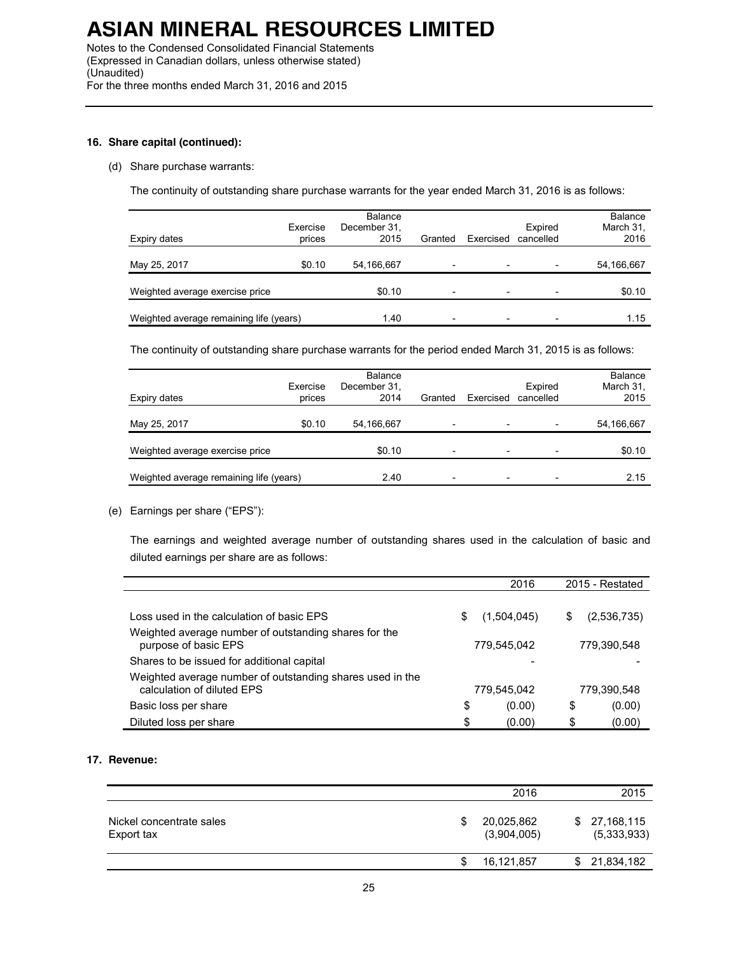Notes to the Condensed Consolidated Financial Statements (Expressed in Canadian dollars, unless otherwise stated) (Unaudited) For the three months ended March 31, 2016 and 2015

### **16. Share capital (continued):**

### (d) Share purchase warrants:

The continuity of outstanding share purchase warrants for the year ended March 31, 2016 is as follows:

| Expiry dates                            | Exercise<br>prices | <b>Balance</b><br>December 31,<br>2015 | Granted                  | Exercised      | Expired<br>cancelled | Balance<br>March 31,<br>2016 |
|-----------------------------------------|--------------------|----------------------------------------|--------------------------|----------------|----------------------|------------------------------|
| May 25, 2017                            | \$0.10             | 54,166,667                             | $\overline{\phantom{a}}$ |                |                      | 54,166,667                   |
| Weighted average exercise price         |                    | \$0.10                                 | $\overline{\phantom{a}}$ | $\overline{ }$ |                      | \$0.10                       |
| Weighted average remaining life (years) |                    | 1.40                                   | $\overline{\phantom{0}}$ |                |                      | 1.15                         |

The continuity of outstanding share purchase warrants for the period ended March 31, 2015 is as follows:

| Expiry dates                            | Exercise<br>prices | <b>Balance</b><br>December 31,<br>2014 | Granted                  | Exercised | Expired<br>cancelled | <b>Balance</b><br>March 31,<br>2015 |
|-----------------------------------------|--------------------|----------------------------------------|--------------------------|-----------|----------------------|-------------------------------------|
| May 25, 2017                            | \$0.10             | 54,166,667                             | $\overline{\phantom{0}}$ |           |                      | 54,166,667                          |
| Weighted average exercise price         |                    | \$0.10                                 | $\overline{\phantom{0}}$ |           |                      | \$0.10                              |
| Weighted average remaining life (years) |                    | 2.40                                   |                          |           |                      | 2.15                                |

### (e) Earnings per share ("EPS"):

The earnings and weighted average number of outstanding shares used in the calculation of basic and diluted earnings per share are as follows:

|                                                                                         | 2016              | 2015 - Restated |             |  |
|-----------------------------------------------------------------------------------------|-------------------|-----------------|-------------|--|
|                                                                                         |                   |                 |             |  |
| Loss used in the calculation of basic EPS                                               | \$<br>(1,504,045) | S               | (2,536,735) |  |
| Weighted average number of outstanding shares for the<br>purpose of basic EPS           | 779.545.042       | 779,390,548     |             |  |
| Shares to be issued for additional capital                                              |                   |                 |             |  |
| Weighted average number of outstanding shares used in the<br>calculation of diluted EPS | 779,545,042       |                 | 779,390,548 |  |
| Basic loss per share                                                                    | \$<br>(0.00)      | \$              | (0.00)      |  |
| Diluted loss per share                                                                  | \$<br>(0.00)      | \$              | (0.00)      |  |

### **17. Revenue:**

|                                        | 2016                      |    | 2015                      |
|----------------------------------------|---------------------------|----|---------------------------|
| Nickel concentrate sales<br>Export tax | 20,025,862<br>(3,904,005) | S. | 27,168,115<br>(5,333,933) |
|                                        | 16,121,857                |    | \$21,834,182              |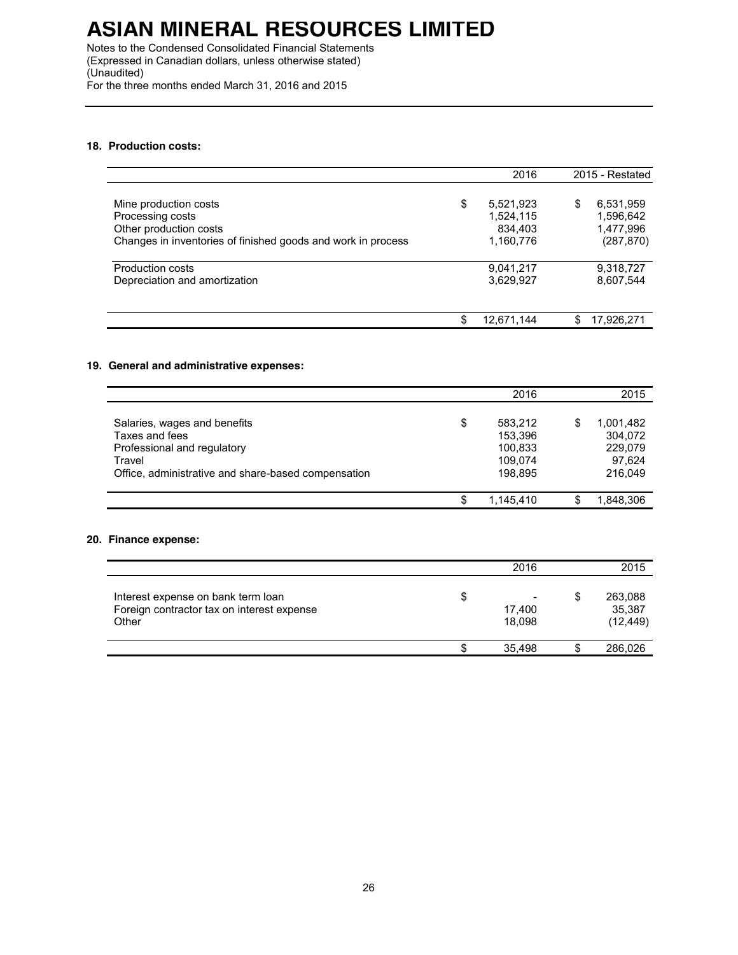Notes to the Condensed Consolidated Financial Statements (Expressed in Canadian dollars, unless otherwise stated) (Unaudited) For the three months ended March 31, 2016 and 2015

### **18. Production costs:**

|                                                                                                                                     | 2016                                                 | 2015 - Restated |                                                   |
|-------------------------------------------------------------------------------------------------------------------------------------|------------------------------------------------------|-----------------|---------------------------------------------------|
| Mine production costs<br>Processing costs<br>Other production costs<br>Changes in inventories of finished goods and work in process | \$<br>5,521,923<br>1,524,115<br>834,403<br>1,160,776 | \$              | 6,531,959<br>1,596,642<br>1,477,996<br>(287, 870) |
| <b>Production costs</b><br>Depreciation and amortization                                                                            | 9,041,217<br>3,629,927                               |                 | 9,318,727<br>8,607,544                            |
|                                                                                                                                     | \$<br>12.671.144                                     | S               | 17,926,271                                        |

#### **19. General and administrative expenses:**

|                                                                                                                                                | 2016                                                      |   | 2015                                                 |
|------------------------------------------------------------------------------------------------------------------------------------------------|-----------------------------------------------------------|---|------------------------------------------------------|
| Salaries, wages and benefits<br>Taxes and fees<br>Professional and regulatory<br>Travel<br>Office, administrative and share-based compensation | \$<br>583.212<br>153.396<br>100.833<br>109.074<br>198,895 | S | 1,001,482<br>304,072<br>229,079<br>97.624<br>216,049 |
|                                                                                                                                                | 1,145,410                                                 |   | 1,848,306                                            |

### **20. Finance expense:**

|                                                                                           | 2016                                               | 2015                                 |
|-------------------------------------------------------------------------------------------|----------------------------------------------------|--------------------------------------|
| Interest expense on bank term loan<br>Foreign contractor tax on interest expense<br>Other | \$<br>$\overline{\phantom{a}}$<br>17,400<br>18.098 | \$<br>263,088<br>35,387<br>(12, 449) |
|                                                                                           | 35,498                                             | 286,026                              |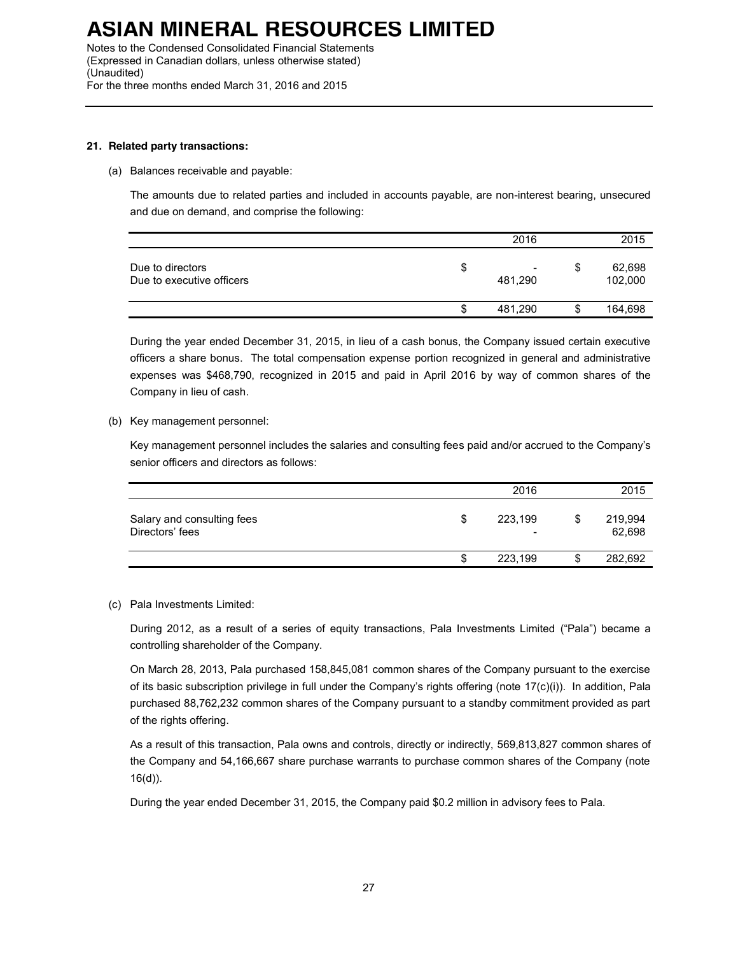Notes to the Condensed Consolidated Financial Statements (Expressed in Canadian dollars, unless otherwise stated) (Unaudited) For the three months ended March 31, 2016 and 2015

### **21. Related party transactions:**

(a) Balances receivable and payable:

The amounts due to related parties and included in accounts payable, are non-interest bearing, unsecured and due on demand, and comprise the following:

|                                               |   | 2016                                |    | 2015              |
|-----------------------------------------------|---|-------------------------------------|----|-------------------|
| Due to directors<br>Due to executive officers | S | $\overline{\phantom{a}}$<br>481.290 | \$ | 62,698<br>102,000 |
|                                               | S | 481,290                             | S  | 164,698           |

During the year ended December 31, 2015, in lieu of a cash bonus, the Company issued certain executive officers a share bonus. The total compensation expense portion recognized in general and administrative expenses was \$468,790, recognized in 2015 and paid in April 2016 by way of common shares of the Company in lieu of cash.

(b) Key management personnel:

Key management personnel includes the salaries and consulting fees paid and/or accrued to the Company's senior officers and directors as follows:

|                                               |   | 2016    |    | 2015              |
|-----------------------------------------------|---|---------|----|-------------------|
| Salary and consulting fees<br>Directors' fees | S | 223,199 | \$ | 219,994<br>62,698 |
|                                               | S | 223,199 | S  | 282,692           |

(c) Pala Investments Limited:

During 2012, as a result of a series of equity transactions, Pala Investments Limited ("Pala") became a controlling shareholder of the Company.

On March 28, 2013, Pala purchased 158,845,081 common shares of the Company pursuant to the exercise of its basic subscription privilege in full under the Company's rights offering (note 17(c)(i)). In addition, Pala purchased 88,762,232 common shares of the Company pursuant to a standby commitment provided as part of the rights offering.

As a result of this transaction, Pala owns and controls, directly or indirectly, 569,813,827 common shares of the Company and 54,166,667 share purchase warrants to purchase common shares of the Company (note 16(d)).

During the year ended December 31, 2015, the Company paid \$0.2 million in advisory fees to Pala.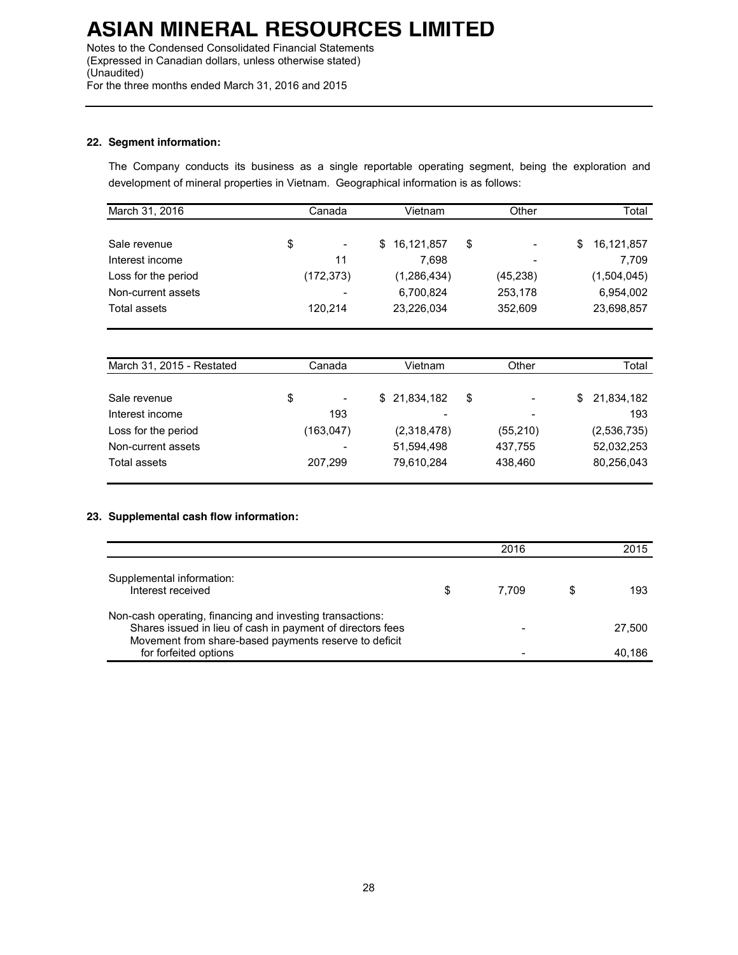Notes to the Condensed Consolidated Financial Statements (Expressed in Canadian dollars, unless otherwise stated) (Unaudited) For the three months ended March 31, 2016 and 2015

### **22. Segment information:**

The Company conducts its business as a single reportable operating segment, being the exploration and development of mineral properties in Vietnam. Geographical information is as follows:

| March 31, 2016      | Canada |                          | Vietnam |              | Other                          |   | Total       |  |
|---------------------|--------|--------------------------|---------|--------------|--------------------------------|---|-------------|--|
|                     |        |                          |         |              |                                |   |             |  |
| Sale revenue        | \$     | $\overline{\phantom{a}}$ |         | \$16,121,857 | \$<br>$\overline{\phantom{0}}$ | S | 16,121,857  |  |
| Interest income     |        | 11                       |         | 7.698        | $\overline{\phantom{0}}$       |   | 7,709       |  |
| Loss for the period |        | (172, 373)               |         | (1,286,434)  | (45, 238)                      |   | (1,504,045) |  |
| Non-current assets  |        | $\overline{\phantom{a}}$ |         | 6,700,824    | 253,178                        |   | 6,954,002   |  |
| Total assets        |        | 120.214                  |         | 23,226,034   | 352,609                        |   | 23,698,857  |  |

| March 31, 2015 - Restated | Canada |                          | Vietnam |              | Other     |    | Total       |  |
|---------------------------|--------|--------------------------|---------|--------------|-----------|----|-------------|--|
|                           |        |                          |         |              |           |    |             |  |
| Sale revenue              | \$     | $\overline{\phantom{a}}$ |         | \$21,834,182 | \$<br>-   | S. | 21,834,182  |  |
| Interest income           |        | 193                      |         | -            | -         |    | 193         |  |
| Loss for the period       |        | (163,047)                |         | (2,318,478)  | (55, 210) |    | (2,536,735) |  |
| Non-current assets        |        | $\overline{\phantom{a}}$ |         | 51,594,498   | 437,755   |    | 52,032,253  |  |
| Total assets              |        | 207,299                  |         | 79,610,284   | 438.460   |    | 80,256,043  |  |

### **23. Supplemental cash flow information:**

|                                                                                                                                                                                  |   | 2016  | 2015   |
|----------------------------------------------------------------------------------------------------------------------------------------------------------------------------------|---|-------|--------|
| Supplemental information:<br>Interest received                                                                                                                                   | S | 7.709 | 193    |
| Non-cash operating, financing and investing transactions:<br>Shares issued in lieu of cash in payment of directors fees<br>Movement from share-based payments reserve to deficit |   |       | 27.500 |
| for forfeited options                                                                                                                                                            |   |       | 40.186 |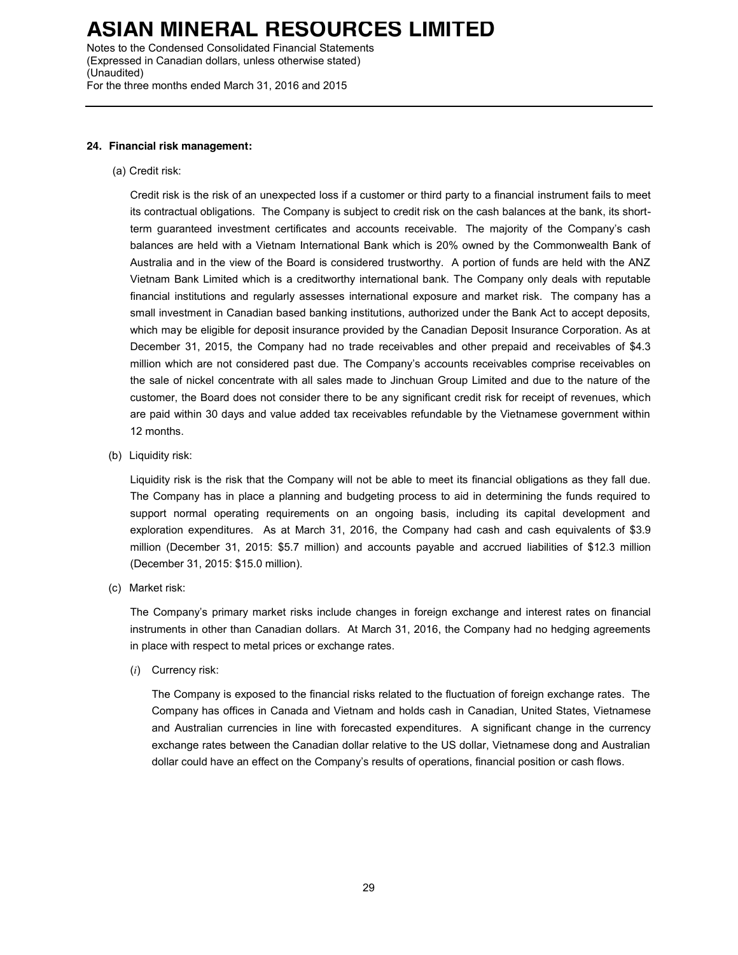Notes to the Condensed Consolidated Financial Statements (Expressed in Canadian dollars, unless otherwise stated) (Unaudited) For the three months ended March 31, 2016 and 2015

#### **24. Financial risk management:**

(a) Credit risk:

Credit risk is the risk of an unexpected loss if a customer or third party to a financial instrument fails to meet its contractual obligations. The Company is subject to credit risk on the cash balances at the bank, its shortterm guaranteed investment certificates and accounts receivable. The majority of the Company's cash balances are held with a Vietnam International Bank which is 20% owned by the Commonwealth Bank of Australia and in the view of the Board is considered trustworthy. A portion of funds are held with the ANZ Vietnam Bank Limited which is a creditworthy international bank. The Company only deals with reputable financial institutions and regularly assesses international exposure and market risk. The company has a small investment in Canadian based banking institutions, authorized under the Bank Act to accept deposits, which may be eligible for deposit insurance provided by the Canadian Deposit Insurance Corporation. As at December 31, 2015, the Company had no trade receivables and other prepaid and receivables of \$4.3 million which are not considered past due. The Company's accounts receivables comprise receivables on the sale of nickel concentrate with all sales made to Jinchuan Group Limited and due to the nature of the customer, the Board does not consider there to be any significant credit risk for receipt of revenues, which are paid within 30 days and value added tax receivables refundable by the Vietnamese government within 12 months.

(b) Liquidity risk:

Liquidity risk is the risk that the Company will not be able to meet its financial obligations as they fall due. The Company has in place a planning and budgeting process to aid in determining the funds required to support normal operating requirements on an ongoing basis, including its capital development and exploration expenditures. As at March 31, 2016, the Company had cash and cash equivalents of \$3.9 million (December 31, 2015: \$5.7 million) and accounts payable and accrued liabilities of \$12.3 million (December 31, 2015: \$15.0 million).

(c) Market risk:

The Company's primary market risks include changes in foreign exchange and interest rates on financial instruments in other than Canadian dollars. At March 31, 2016, the Company had no hedging agreements in place with respect to metal prices or exchange rates.

(*i*) Currency risk:

The Company is exposed to the financial risks related to the fluctuation of foreign exchange rates. The Company has offices in Canada and Vietnam and holds cash in Canadian, United States, Vietnamese and Australian currencies in line with forecasted expenditures. A significant change in the currency exchange rates between the Canadian dollar relative to the US dollar, Vietnamese dong and Australian dollar could have an effect on the Company's results of operations, financial position or cash flows.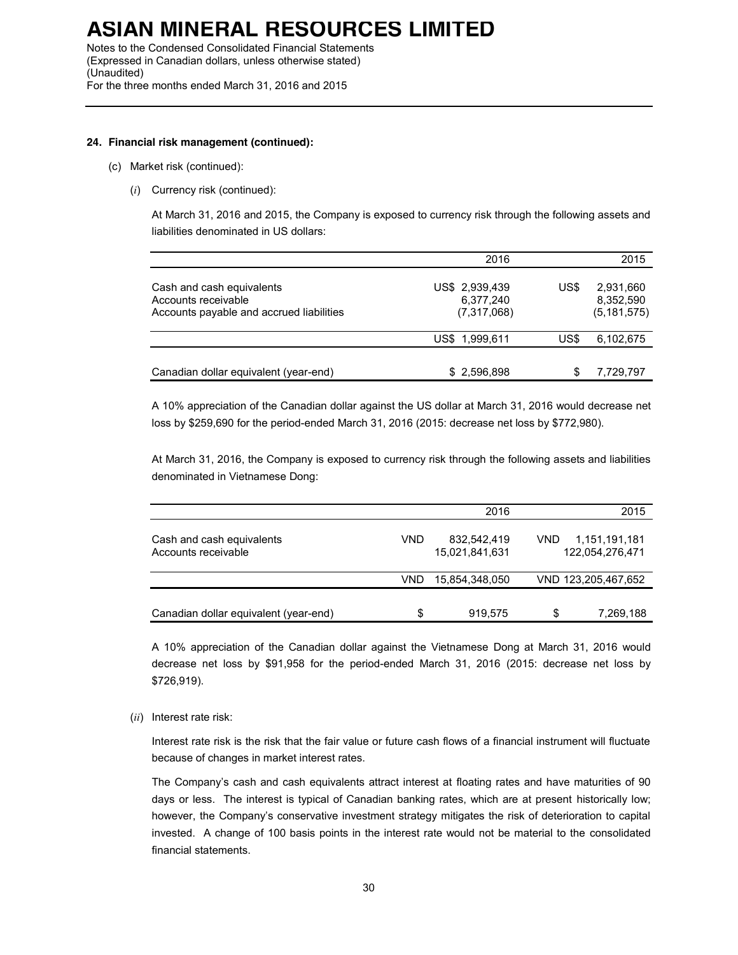Notes to the Condensed Consolidated Financial Statements (Expressed in Canadian dollars, unless otherwise stated) (Unaudited) For the three months ended March 31, 2016 and 2015

### **24. Financial risk management (continued):**

- (c) Market risk (continued):
	- (*i*) Currency risk (continued):

At March 31, 2016 and 2015, the Company is exposed to currency risk through the following assets and liabilities denominated in US dollars:

|                                                                                              | 2016                                       |      | 2015                                    |
|----------------------------------------------------------------------------------------------|--------------------------------------------|------|-----------------------------------------|
| Cash and cash equivalents<br>Accounts receivable<br>Accounts payable and accrued liabilities | US\$ 2,939,439<br>6,377,240<br>(7,317,068) | US\$ | 2,931,660<br>8,352,590<br>(5, 181, 575) |
|                                                                                              | US\$ 1,999,611                             | US\$ | 6,102,675                               |
| Canadian dollar equivalent (year-end)                                                        | \$2,596,898                                | S    | 7,729,797                               |

A 10% appreciation of the Canadian dollar against the US dollar at March 31, 2016 would decrease net loss by \$259,690 for the period-ended March 31, 2016 (2015: decrease net loss by \$772,980).

At March 31, 2016, the Company is exposed to currency risk through the following assets and liabilities denominated in Vietnamese Dong:

|                                                  |     | 2016                          |      | 2015                             |
|--------------------------------------------------|-----|-------------------------------|------|----------------------------------|
| Cash and cash equivalents<br>Accounts receivable | VND | 832,542,419<br>15,021,841,631 | VND. | 1,151,191,181<br>122,054,276,471 |
|                                                  | VND | 15,854,348,050                |      | VND 123,205,467,652              |
| Canadian dollar equivalent (year-end)            | \$  | 919,575                       | \$   | 7,269,188                        |

A 10% appreciation of the Canadian dollar against the Vietnamese Dong at March 31, 2016 would decrease net loss by \$91,958 for the period-ended March 31, 2016 (2015: decrease net loss by \$726,919).

(*ii*) Interest rate risk:

Interest rate risk is the risk that the fair value or future cash flows of a financial instrument will fluctuate because of changes in market interest rates.

The Company's cash and cash equivalents attract interest at floating rates and have maturities of 90 days or less. The interest is typical of Canadian banking rates, which are at present historically low; however, the Company's conservative investment strategy mitigates the risk of deterioration to capital invested. A change of 100 basis points in the interest rate would not be material to the consolidated financial statements.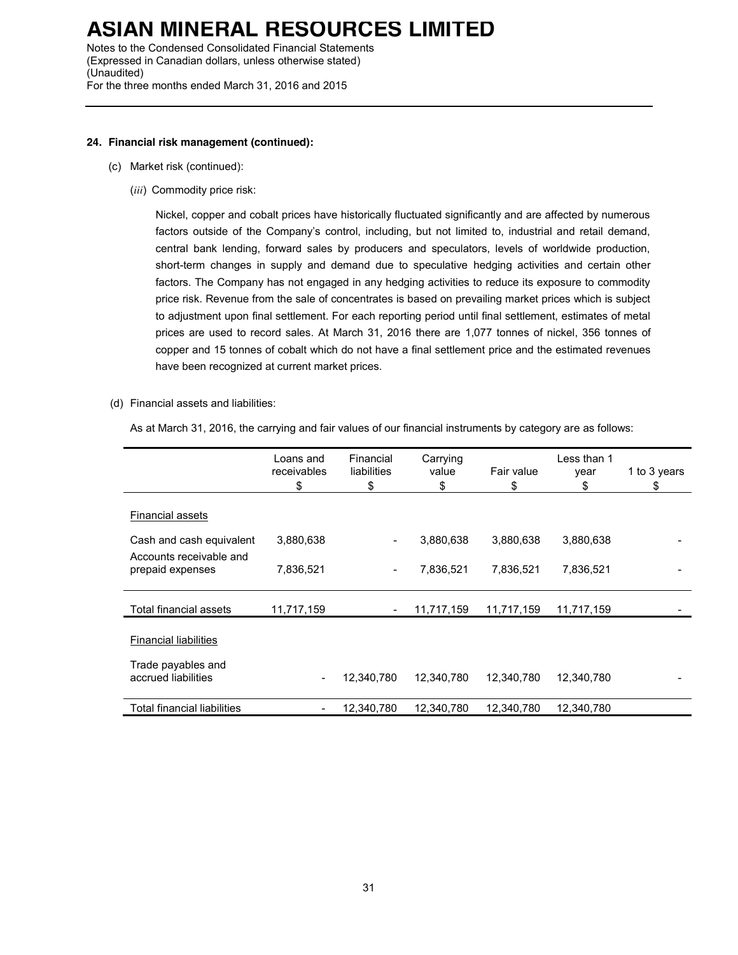Notes to the Condensed Consolidated Financial Statements (Expressed in Canadian dollars, unless otherwise stated) (Unaudited) For the three months ended March 31, 2016 and 2015

### **24. Financial risk management (continued):**

- (c) Market risk (continued):
	- (*iii*) Commodity price risk:

Nickel, copper and cobalt prices have historically fluctuated significantly and are affected by numerous factors outside of the Company's control, including, but not limited to, industrial and retail demand, central bank lending, forward sales by producers and speculators, levels of worldwide production, short-term changes in supply and demand due to speculative hedging activities and certain other factors. The Company has not engaged in any hedging activities to reduce its exposure to commodity price risk. Revenue from the sale of concentrates is based on prevailing market prices which is subject to adjustment upon final settlement. For each reporting period until final settlement, estimates of metal prices are used to record sales. At March 31, 2016 there are 1,077 tonnes of nickel, 356 tonnes of copper and 15 tonnes of cobalt which do not have a final settlement price and the estimated revenues have been recognized at current market prices.

(d) Financial assets and liabilities:

As at March 31, 2016, the carrying and fair values of our financial instruments by category are as follows:

|                                             | Loans and<br>receivables<br>\$ | Financial<br>liabilities<br>\$ | Carrying<br>value<br>\$ | Fair value<br>\$ | Less than 1<br>year<br>\$ | 1 to 3 years<br>\$ |
|---------------------------------------------|--------------------------------|--------------------------------|-------------------------|------------------|---------------------------|--------------------|
| <b>Financial assets</b>                     |                                |                                |                         |                  |                           |                    |
| Cash and cash equivalent                    | 3,880,638                      | -                              | 3,880,638               | 3,880,638        | 3,880,638                 |                    |
| Accounts receivable and<br>prepaid expenses | 7,836,521                      | Ξ.                             | 7,836,521               | 7,836,521        | 7,836,521                 |                    |
| Total financial assets                      | 11,717,159                     |                                | 11,717,159              | 11,717,159       | 11,717,159                |                    |
| <b>Financial liabilities</b>                |                                |                                |                         |                  |                           |                    |
| Trade payables and<br>accrued liabilities   | -                              | 12,340,780                     | 12,340,780              | 12,340,780       | 12,340,780                |                    |
| <b>Total financial liabilities</b>          | -                              | 12,340,780                     | 12,340,780              | 12,340,780       | 12,340,780                |                    |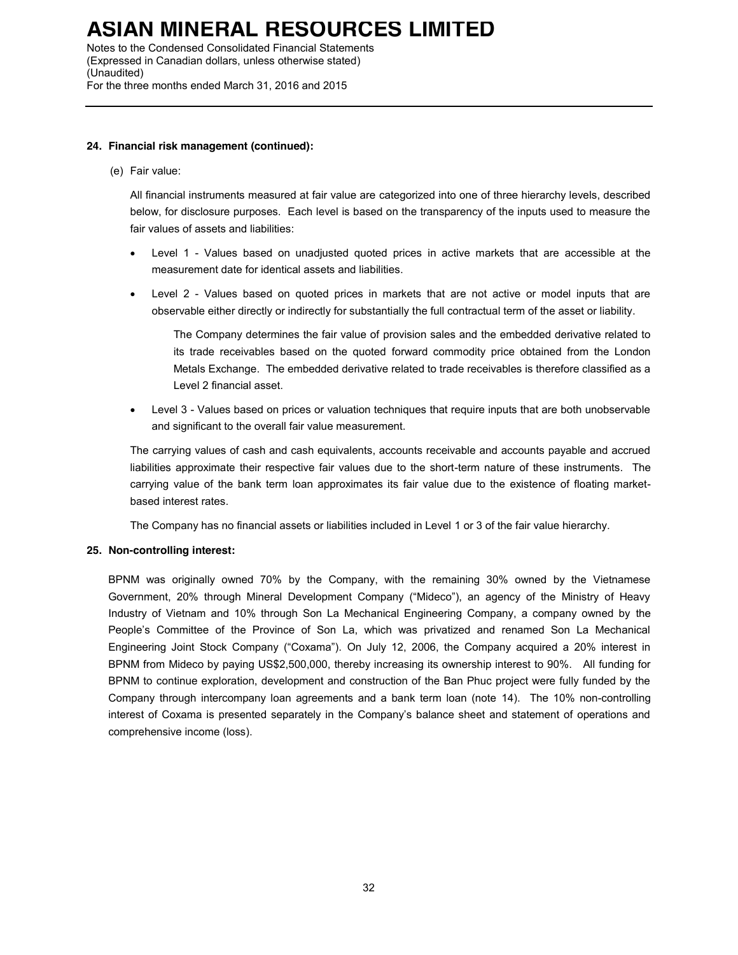Notes to the Condensed Consolidated Financial Statements (Expressed in Canadian dollars, unless otherwise stated) (Unaudited) For the three months ended March 31, 2016 and 2015

### **24. Financial risk management (continued):**

(e) Fair value:

All financial instruments measured at fair value are categorized into one of three hierarchy levels, described below, for disclosure purposes. Each level is based on the transparency of the inputs used to measure the fair values of assets and liabilities:

- Level 1 Values based on unadjusted quoted prices in active markets that are accessible at the measurement date for identical assets and liabilities.
- Level 2 Values based on quoted prices in markets that are not active or model inputs that are observable either directly or indirectly for substantially the full contractual term of the asset or liability.

The Company determines the fair value of provision sales and the embedded derivative related to its trade receivables based on the quoted forward commodity price obtained from the London Metals Exchange. The embedded derivative related to trade receivables is therefore classified as a Level 2 financial asset.

• Level 3 - Values based on prices or valuation techniques that require inputs that are both unobservable and significant to the overall fair value measurement.

The carrying values of cash and cash equivalents, accounts receivable and accounts payable and accrued liabilities approximate their respective fair values due to the short-term nature of these instruments. The carrying value of the bank term loan approximates its fair value due to the existence of floating marketbased interest rates.

The Company has no financial assets or liabilities included in Level 1 or 3 of the fair value hierarchy.

### **25. Non-controlling interest:**

BPNM was originally owned 70% by the Company, with the remaining 30% owned by the Vietnamese Government, 20% through Mineral Development Company ("Mideco"), an agency of the Ministry of Heavy Industry of Vietnam and 10% through Son La Mechanical Engineering Company, a company owned by the People's Committee of the Province of Son La, which was privatized and renamed Son La Mechanical Engineering Joint Stock Company ("Coxama"). On July 12, 2006, the Company acquired a 20% interest in BPNM from Mideco by paying US\$2,500,000, thereby increasing its ownership interest to 90%. All funding for BPNM to continue exploration, development and construction of the Ban Phuc project were fully funded by the Company through intercompany loan agreements and a bank term loan (note 14). The 10% non-controlling interest of Coxama is presented separately in the Company's balance sheet and statement of operations and comprehensive income (loss).